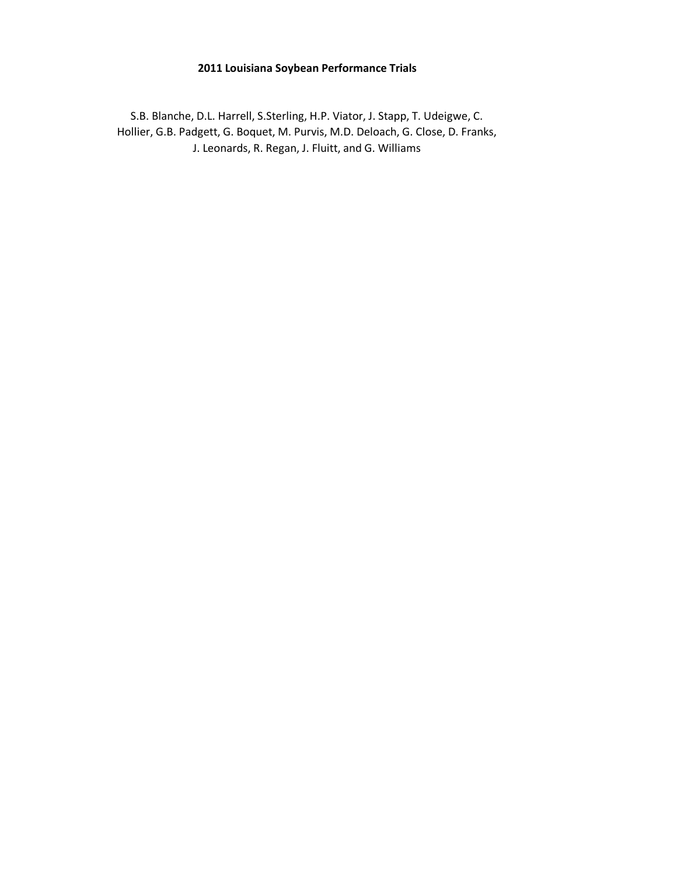#### **2011 Louisiana Soybean Performance Trials**

S.B. Blanche, D.L. Harrell, S.Sterling, H.P. Viator, J. Stapp, T. Udeigwe, C. Hollier, G.B. Padgett, G. Boquet, M. Purvis, M.D. Deloach, G. Close, D. Franks, J. Leonards, R. Regan, J. Fluitt, and G. Williams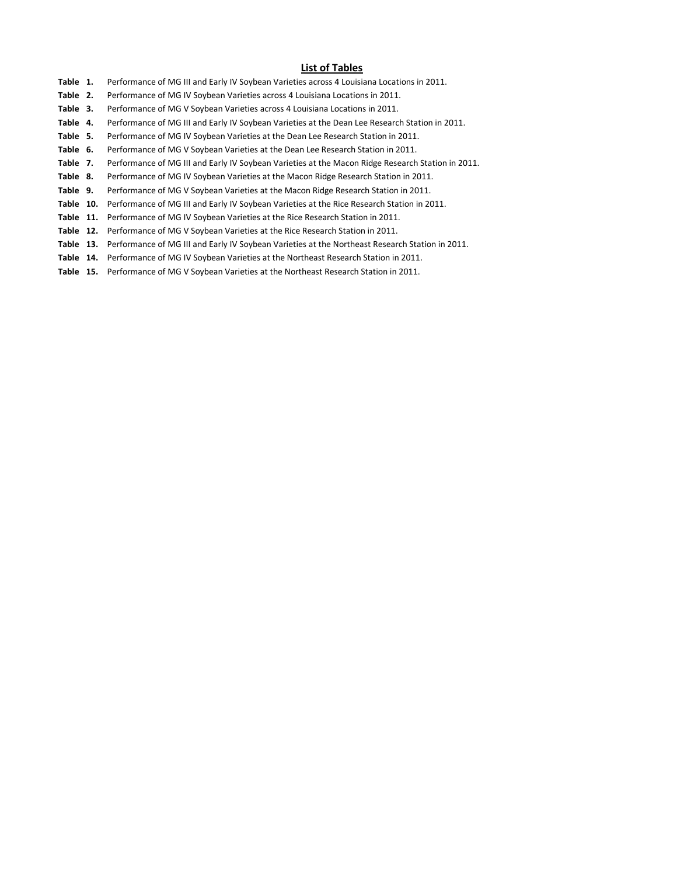#### **List of Tables**

- **Table 1.** Performance of MG III and Early IV Soybean Varieties across 4 Louisiana Locations in 2011.
- **Table 2.** Performance of MG IV Soybean Varieties across 4 Louisiana Locations in 2011.
- **Table 3.** Performance of MG V Soybean Varieties across 4 Louisiana Locations in 2011.
- **Table 4.** Performance of MG III and Early IV Soybean Varieties at the Dean Lee Research Station in 2011.
- **Table 5.** Performance of MG IV Soybean Varieties at the Dean Lee Research Station in 2011.
- **Table 6.** Performance of MG V Soybean Varieties at the Dean Lee Research Station in 2011.
- **Table 7.** Performance of MG III and Early IV Soybean Varieties at the Macon Ridge Research Station in 2011.
- **Table 8.** Performance of MG IV Soybean Varieties at the Macon Ridge Research Station in 2011.
- **Table 9.** Performance of MG V Soybean Varieties at the Macon Ridge Research Station in 2011.
- **Table 10.** Performance of MG III and Early IV Soybean Varieties at the Rice Research Station in 2011.
- **Table 11.** Performance of MG IV Soybean Varieties at the Rice Research Station in 2011.
- **Table 12.** Performance of MG V Soybean Varieties at the Rice Research Station in 2011.
- **Table 13.** Performance of MG III and Early IV Soybean Varieties at the Northeast Research Station in 2011.
- **Table 14.** Performance of MG IV Soybean Varieties at the Northeast Research Station in 2011.
- **Table 15.** Performance of MG V Soybean Varieties at the Northeast Research Station in 2011.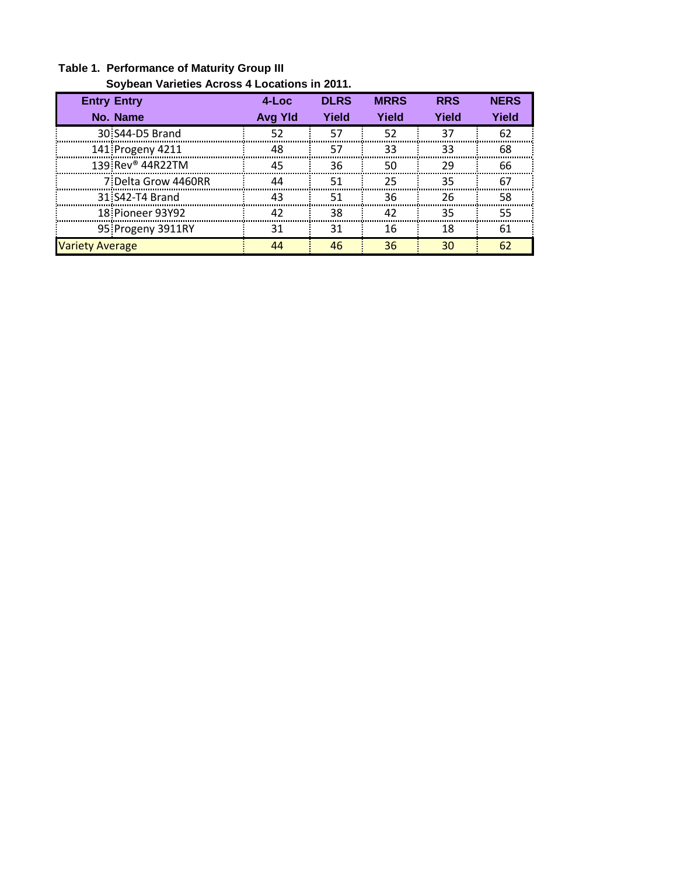|                              | Soybean Varieties Across 4 Locations in 2011. |             |             |            |             |  |  |  |  |  |  |  |
|------------------------------|-----------------------------------------------|-------------|-------------|------------|-------------|--|--|--|--|--|--|--|
| <b>Entry Entry</b>           | $4$ -Loc                                      | <b>DLRS</b> | <b>MRRS</b> | <b>RRS</b> | <b>NERS</b> |  |  |  |  |  |  |  |
| No. Name                     | <b>Avg Yld</b>                                | Yield       | Yield       | Yield      | Yield       |  |  |  |  |  |  |  |
| 30 S44-D5 Brand              | 52                                            | 57          | 52          | 37         | 62          |  |  |  |  |  |  |  |
| 141 Progeny 4211             | 48                                            | 57          | 33          | 33         | 68          |  |  |  |  |  |  |  |
| 139 Rev <sup>®</sup> 44R22TM | 45                                            | 36          | 50          | 29         | 66          |  |  |  |  |  |  |  |
| 7 Delta Grow 4460RR          | ΔΔ                                            | 51          | 25          | 35         | -67         |  |  |  |  |  |  |  |
| 31 S42-T4 Brand              | 43                                            | 51          | 36          | 26         | 58          |  |  |  |  |  |  |  |
| 18 Pioneer 93Y92             | 42                                            | 38          | 42          | 35         | 55          |  |  |  |  |  |  |  |
| 95 Progeny 3911RY            | 31                                            | 31          | 16          | 18         | 61          |  |  |  |  |  |  |  |
| <b>Variety Average</b>       | ΔΔ                                            | 46          | 36          | 30         | 62          |  |  |  |  |  |  |  |

# **Table 1. Performance of Maturity Group III**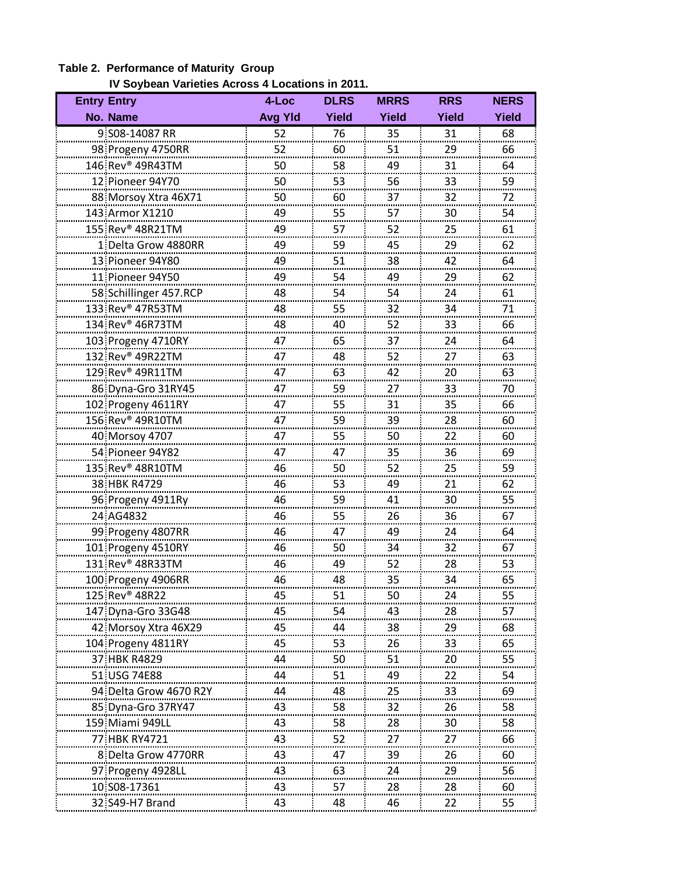### **Table 2. Performance of Maturity Group**

 **IV Soybean Varieties Across 4 Locations in 2011.**

| <b>Entry Entry</b>           | 4-Loc          | <b>DLRS</b>  | <b>MRRS</b>  | <b>RRS</b>   | <b>NERS</b>  |
|------------------------------|----------------|--------------|--------------|--------------|--------------|
| No. Name                     | <b>Avg Yld</b> | <b>Yield</b> | <b>Yield</b> | <b>Yield</b> | <b>Yield</b> |
| 9 S08-14087 RR               | 52             | 76           | 35           | 31           | 68           |
| 98 Progeny 4750RR            | 52             | 60           | 51           | 29<br>       | 66           |
| 146 Rev <sup>®</sup> 49R43TM | 50             | 58           | 49           | 31           | 64           |
| 12 Pioneer 94Y70             | 50             | 53           | 56           | 33<br>.      | 59           |
| 88 Morsoy Xtra 46X71         | 50             | 60           | 37           | 32           | 72           |
| 143 Armor X1210              | 49             | 55           | 57           | 30<br>       | 54<br>ma.    |
| 155 Rev <sup>®</sup> 48R21TM | 49             | 57           | 52           | 25<br>-----  | 61           |
| 1: Delta Grow 4880RR         | 49             | 59           | 45           | 29           | 62           |
| 13 Pioneer 94Y80             | 49             | 51           | 38           | 42           | 64           |
| 11 Pioneer 94Y50             | 49             | 54           | 49           | 29           | 62           |
| 58 Schillinger 457.RCP       | 48             | 54           | 54           | 24           | 61           |
| 133 Rev <sup>®</sup> 47R53TM | 48             | 55<br>       | 32<br>       | 34<br>       | 71<br>.      |
| 134 Rev <sup>®</sup> 46R73TM | 48             | 40           | 52           | 33           | 66           |
| 103 Progeny 4710RY           | 47             | 65           | 37           | 24           | 64           |
| 132 Rev <sup>®</sup> 49R22TM | 47             | 48           | 52           | 27           | 63           |
| 129 Rev <sup>®</sup> 49R11TM | 47             | 63           | 42           | 20           | 63           |
| 86 Dyna-Gro 31RY45           | 47             | 59<br>       | 27           | 33<br>       | 70           |
| 102 Progeny 4611RY           | 47             | 55           | 31           | 35           | 66           |
| 156 Rev <sup>®</sup> 49R10TM | 47             | 59           | 39           | 28           | 60           |
| 40 Morsoy 4707               | 47             | 55           | 50           | 22           | 60           |
| 54 Pioneer 94Y82             | 47             | 47           | 35           | 36           | 69           |
| 135 Rev <sup>®</sup> 48R10TM | 46             | 50<br>       | 52           | 25<br>       | 59           |
| 38 HBK R4729                 | 46             | 53           | 49           | 21           | <br>62       |
| 96 Progeny 4911Ry            | 46             | 59           | 41           | 30           | 55           |
| 24 AG4832                    | 46             | 55           | 26           | 36           | 67           |
| 99 Progeny 4807RR            | 46             | 47           | 49           | 24           | 64           |
| 101 Progeny 4510RY           | 46             | 50           | 34           | 32<br>       | 67<br>       |
| 131 Rev <sup>®</sup> 48R33TM | 46             | 49           | 52           | 28           | 53           |
| 100 Progeny 4906RR           | 46             | 48           | 35           | 34           | 65           |
| 125 Rev <sup>®</sup> 48R22   | 45             | 51           | 50           | 24           | 55           |
| 147 Dyna-Gro 33G48           | 45             | 54           | 43           | 28           | 57           |
| 42 Morsoy Xtra 46X29         | 45             | 44           | 38           | 29           | 68           |
| 104 Progeny 4811RY           | 45             | 53           | 26           | 33           | 65           |
| 37 HBK R4829                 | 44             | 50           | 51           | 20           | 55           |
| 51 USG 74E88                 | 44             | 51           | 49           |              | 54           |
| 94: Delta Grow 4670 R2Y      | 44             | 48           | 25           | 33           | 69           |
| 85 Dyna-Gro 37RY47           | 43             | 58           | 32           | 26           | 58           |
| 159 Miami 949LL              | 43             | 58           | 28           | 30           | 58           |
| 77 HBK RY4721                | 43             | 52           | 27           | 27           | 66           |
| 8 Delta Grow 4770RR          | 43             | 47           | 39           | 26           | 60           |
| 97 Progeny 4928LL            | 43             | 63           | 24           | 29           | 56           |
| 10 S08-17361                 | 43<br>         | 57           | 28           | 28           | 60           |
| 32 S49-H7 Brand              | 43             | 48           | 46           | <br>22       | 55           |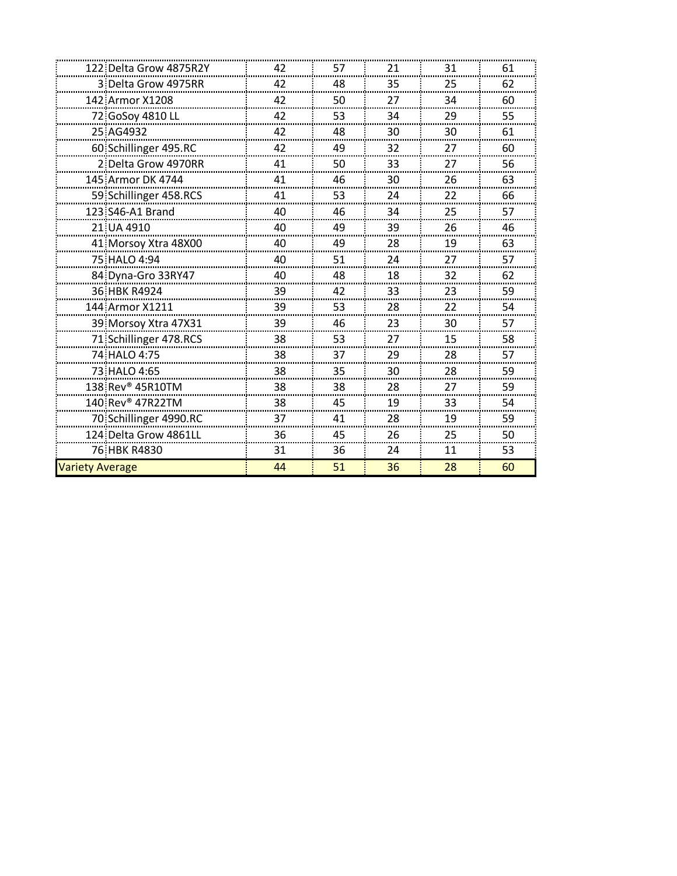|                        | 122 Delta Grow 4875R2Y       | 42           | 57      | 21      | 31     | 61     |
|------------------------|------------------------------|--------------|---------|---------|--------|--------|
|                        | 3 Delta Grow 4975RR          | 42           | 48      | 35      | 25     | 62     |
| 142 Armor X1208        |                              | 42           | 50      | 27      | 34     | 60     |
|                        | 72 GoSoy 4810 LL             | 42           | 53      | 34      | 29     | 55     |
| 25 AG4932              |                              | 42           | 48      | 30      | 30     | 61     |
|                        | 60 Schillinger 495.RC        | 42           | 49      | 32      | 27     | 60     |
|                        | 2 Delta Grow 4970RR          | 41           | 50      | 33      | 27     | 56     |
|                        | 145 Armor DK 4744            | 41           | 46      | 30      | 26     | 63     |
|                        | 59 Schillinger 458.RCS       | 41           | 53      | 24      | 22     | 66     |
| 123 S46-A1 Brand       |                              | 40           | 46      | 34      | 25     | 57     |
| 21 UA 4910             |                              | 40           | 49      | 39      | 26     | 46     |
|                        | 41 Morsoy Xtra 48X00         | 40           | 49      | 28      | 19     | 63     |
| 75 HALO 4:94           |                              | 40           | 51      | 24      | 27     | 57     |
|                        | 84 Dyna-Gro 33RY47           | 40           | 48      | 18      | 32     | 62     |
| 36 HBK R4924           |                              | 39           | 42      | 33      | 23     | 59     |
| 144 Armor X1211        |                              | 39           | 53      | 28      | 22     | 54     |
|                        | 39 Morsoy Xtra 47X31         | 39           | 46      | 23      | 30     | 57     |
|                        | 71 Schillinger 478.RCS       | 38           | 53      | 27      | 15     | 58     |
| 74 HALO 4:75           |                              | 38           | 37      | 29      | 28     | 57     |
| 73 HALO 4:65           |                              | 38           | 35      | 30      | 28     | 59     |
|                        | 138 Rev <sup>®</sup> 45R10TM | 38           | 38      | 28      | 27     | 59     |
|                        | 140.Rev <sup>®</sup> 47R22TM | 38           | 45      | 19      | 33     | 54     |
|                        | 70 Schillinger 4990.RC       | 37           | 41      | 28      | 19     | 59     |
|                        | 124 Delta Grow 4861LL        | 36<br>------ | 45<br>. | 26<br>. | 25<br> | 50<br> |
| 76 HBK R4830           |                              | 31           | 36      | 24      | 11     | 53     |
| <b>Variety Average</b> |                              | 44           | 51      | 36      | 28     | 60     |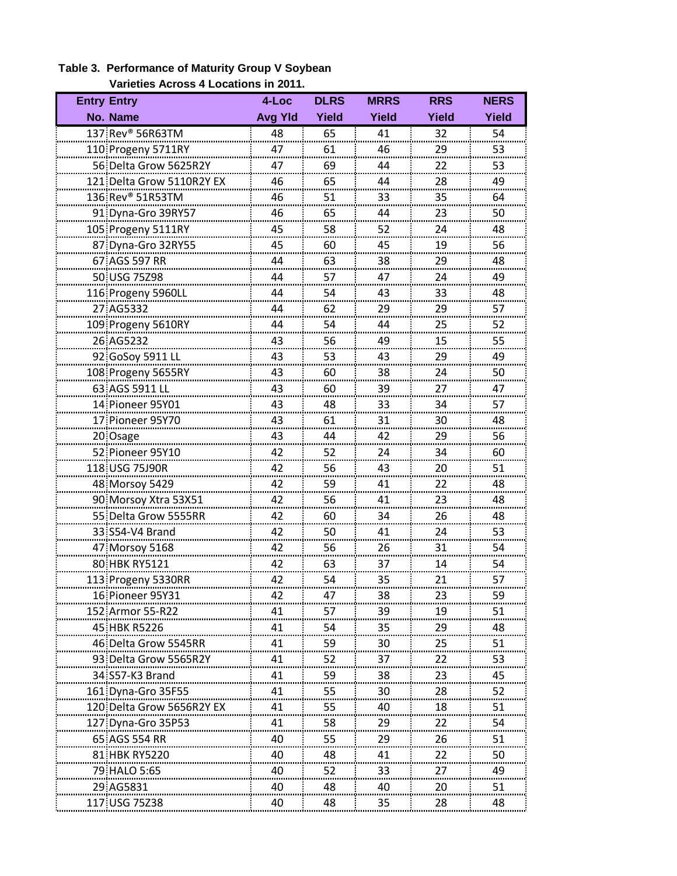| <b>Entry Entry</b>        | 4-Loc          | <b>DLRS</b> | <b>MRRS</b>  | <b>RRS</b> | <b>NERS</b> |
|---------------------------|----------------|-------------|--------------|------------|-------------|
| No. Name                  | <b>Avg Yld</b> | Yield       | <b>Yield</b> | Yield      | Yield       |
| 137 Rev® 56R63TM          | 48             | 65          | 41           | 32         | 54          |
| 110 Progeny 5711RY        | 47             | 61          | 46           | 29         | 53          |
| 56 Delta Grow 5625R2Y     | 47             | 69          | 44           | 22         | 53          |
| 121 Delta Grow 5110R2Y EX | 46             | 65          | .<br>44      | 28         | 49          |
| 136 Rev® 51R53TM          | 46             | 51          | 33           | 35         | 64          |
| 91 Dyna-Gro 39RY57        | 46             | 65          | 44           | 23         | 50          |
| 105 Progeny 5111RY        | 45             | 58          | 52           | 24         | 48          |
| 87 Dyna-Gro 32RY55        | 45             | 60          | 45           | 19         | 56          |
| 67 AGS 597 RR             | 44             | 63          | 38           | 29         | 48          |
| 50 USG 75298              | 44             | 57          | 47           | 24         | 49          |
| 116 Progeny 5960LL        | 44             | 54          | 43           | 33         | 48          |
| 27 AG5332                 | 44             | 62          | 29           | 29         | 57          |
| 109 Progeny 5610RY        | 44             | 54          | 44           | 25         | 52          |
| 26 AG5232                 | 43             | 56          | <br>49       | 15         | <br>55      |
| 92 GoSoy 5911 LL          | 43             | 53          | 43           | 29         | 49          |
| 108 Progeny 5655RY        | 43             | 60          | 38           | 24         | 50          |
| 63 AGS 5911 LL            | 43             | 60          | 39           | 27         | 47          |
| 14: Pioneer 95Y01         | 43             | 48          | 33           | 34         | 57          |
| 17 Pioneer 95Y70          | 43             | 61          | 31           | 30         | <br>48      |
| 20 Osage                  | 43             | 44          | 42           | 29         | 56          |
| 52 Pioneer 95Y10          | 42             | 52          | 24           | 34         | 60          |
| 118 USG 75J90R            | 42             | 56          | 43           | 20         | 51          |
| 48 Morsoy 5429            | 42             | 59          | 41           | 22         | 48          |
| 90 Morsoy Xtra 53X51      | 42             | 56          | 41           | 23         | 48          |
| 55 Delta Grow 5555RR      | 42             | 60          | 34           | 26         | 48          |
| 33 S54-V4 Brand           | 42             | 50          | 41           | 24         | 53          |
| 47 Morsoy 5168            | 42             | 56          | 26           | 31         | 54          |
| 80 HBK RY5121             | 42             | 63          | 37           | 14         | 54          |
| 113 Progeny 5330RR        | 42             | 54          | 35           | 21         | 57          |
| 16:Pioneer 95Y31          |                | 47          | 38           |            | 59          |
| 152 Armor 55-R22          | 41             | 57          | 39           | 19         | 51          |
| 45 HBK R5226              | 41<br>         | 54          | 35           | 29         | 48          |
| 46 Delta Grow 5545RR      | 41             | 59          | 30           | 25         | 51          |
| 93 Delta Grow 5565R2Y     | 41             | 52          | 37           | 22         | 53          |
| 34 S57-K3 Brand           | 41             | 59          | 38           | 23         | 45          |
| 161 Dyna-Gro 35F55        | 41             | 55          | 30           | 28         | 52          |
| 120-Delta Grow 5656R2Y EX | 41<br>         | 55<br>      | 40           | 18         | 51          |
| 127 Dyna-Gro 35P53        | 41             | 58          | 29           | 22         | 54          |
| 65 AGS 554 RR             | 40             | 55          | 29           | 26         | 51          |
| 81 HBK RY5220             | 40             | 48          | 41           | 22         | 50          |
| 79 HALO 5:65              | 40             | 52          | 33           | 27         | 49          |
| 29 AG5831                 | 40<br>         | 48<br>      | 40<br>       | 20         | 51          |
| 117 USG 75Z38             | 40             | 48          | 35           | 28         | 48          |

### **Table 3. Performance of Maturity Group V Soybean Varieties Across 4 Locations in 2011.**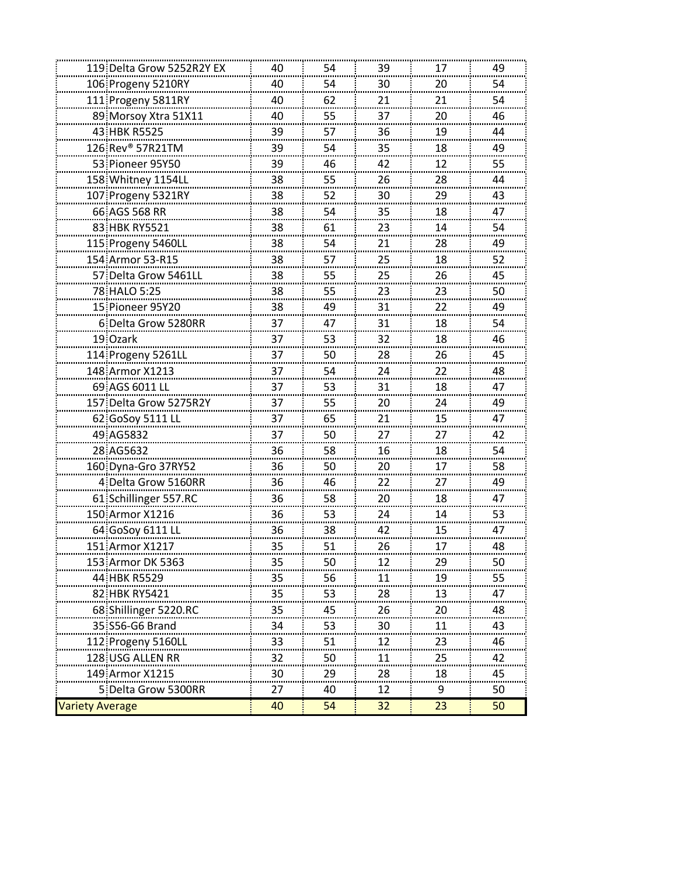|                        | 119 Delta Grow 5252R2Y EX    | 40 | 54 | 39     | 17 | 49         |
|------------------------|------------------------------|----|----|--------|----|------------|
|                        | 106 Progeny 5210RY           | 40 | 54 | 30     | 20 | <br>54     |
|                        | 111 Progeny 5811RY           | 40 | 62 | 21     | 21 | 54         |
|                        | 89 Morsoy Xtra 51X11         | 40 | 55 | 37     | 20 | 46         |
|                        | 43 HBK R5525                 | 39 | 57 | 36     | 19 | 44         |
|                        | 126 Rev <sup>®</sup> 57R21TM | 39 | 54 | 35     | 18 | 49         |
|                        | 53 Pioneer 95Y50             | 39 | 46 | 42     | 12 | <br>55<br> |
|                        | 158 Whitney 1154LL           | 38 | 55 | 26     | 28 | 44         |
|                        | 107 Progeny 5321RY           | 38 | 52 | 30     | 29 | 43         |
|                        | 66 AGS 568 RR                | 38 | 54 | 35     | 18 | 47         |
|                        | 83. HBK RY5521               | 38 | 61 | 23     | 14 | 54         |
|                        | 115 Progeny 5460LL           | 38 | 54 | 21     | 28 | 49<br>     |
|                        | 154 Armor 53-R15             | 38 | 57 | 25     | 18 | 52         |
|                        | 57 Delta Grow 5461LL         | 38 | 55 | 25     | 26 | 45         |
|                        | 78 HALO 5:25                 | 38 | 55 | 23     | 23 | 50         |
|                        | 15 Pioneer 95Y20             | 38 | 49 | 31     | 22 | 49         |
|                        | 6 Delta Grow 5280RR          | 37 | 47 | 31     | 18 | 54         |
|                        | 19: Ozark                    | 37 | 53 | 32     | 18 | 46         |
|                        | 114 Progeny 5261LL           | 37 | 50 | 28     | 26 | 45         |
|                        | 148 Armor X1213              | 37 | 54 | 24     | 22 | 48         |
|                        | 69.AGS 6011 LL               | 37 | 53 | 31     | 18 | 47         |
|                        | 157 Delta Grow 5275R2Y       | 37 | 55 | 20     | 24 | 49         |
|                        | 62 GoSoy 5111 LL             | 37 | 65 | 21     | 15 | 47         |
|                        | 49 AG5832                    | 37 | 50 | 27     | 27 | 42         |
|                        | 28 AG5632                    | 36 | 58 | 16     | 18 | 54         |
|                        | 160 Dyna-Gro 37RY52          | 36 | 50 | 20<br> | 17 | 58         |
|                        | 4 Delta Grow 5160RR          | 36 | 46 | 22     | 27 | 49         |
|                        | 61 Schillinger 557.RC        | 36 | 58 | 20     | 18 | 47         |
|                        | 150 Armor X1216              | 36 | 53 | 24     | 14 | 53         |
|                        | 64: GoSoy 6111 LL            | 36 | 38 | 42     | 15 | 47         |
|                        | 151 Armor X1217              | 35 | 51 | 26     | 17 | 48         |
|                        | 153. Armor DK 5363           | 35 | 50 | 12     | 29 | 50         |
|                        | 44 HBK R5529                 | 35 | 56 |        | 19 | 55         |
|                        | 82 HBK RY5421                | 35 | 53 | 28     | 13 | 47         |
|                        | 68 Shillinger 5220.RC        | 35 | 45 | 26     | 20 | 48         |
|                        | 35 S56-G6 Brand              | 34 | 53 | 30     | 11 | 43         |
|                        | 112 Progeny 5160LL           | 33 | 51 | 12     | 23 | 46         |
|                        | 128 USG ALLEN RR             | 32 | 50 | 11     | 25 | 42         |
|                        | 149 Armor X1215              | 30 | 29 | 28     | 18 | 45         |
|                        | 5 Delta Grow 5300RR          | 27 | 40 | 12     | 9  | 50         |
| <b>Variety Average</b> |                              | 40 | 54 | 32     | 23 | 50         |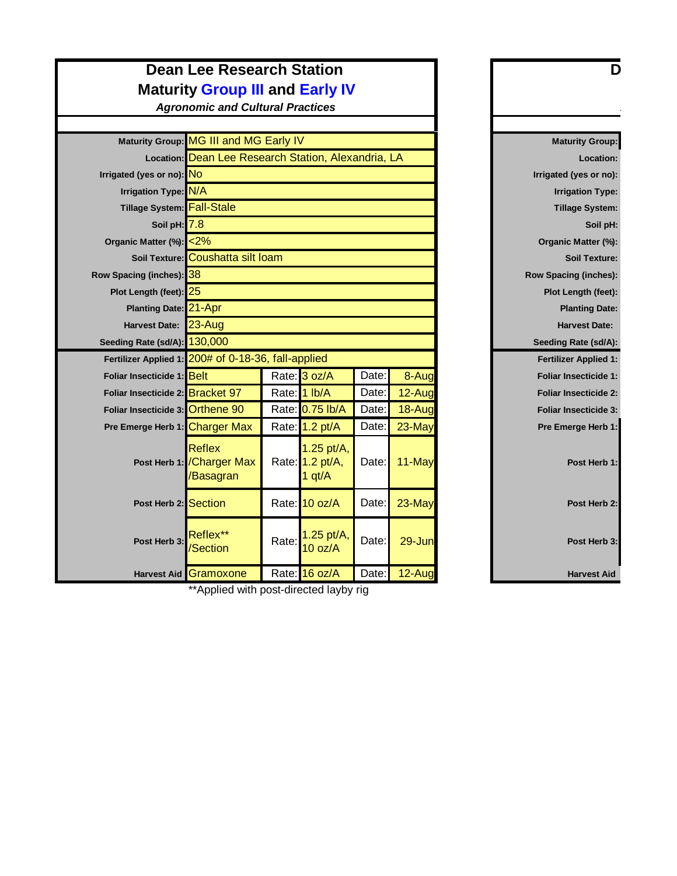### **Dean Lee Research Station Maturity Group III and Early IV**

*Agronomic and Cultural Practices*

|                                                     | Maturity Group: MG III and MG Early IV                   |       |                                             | <b>Maturity Group:</b> |            |                              |
|-----------------------------------------------------|----------------------------------------------------------|-------|---------------------------------------------|------------------------|------------|------------------------------|
|                                                     | Location: Dean Lee Research Station, Alexandria, LA      |       |                                             |                        |            | Location:                    |
| Irrigated (yes or no): NO                           |                                                          |       |                                             |                        |            | Irrigated (yes or no):       |
| Irrigation Type: N/A                                |                                                          |       |                                             |                        |            | <b>Irrigation Type:</b>      |
| Tillage System: Fall-Stale                          |                                                          |       |                                             |                        |            | <b>Tillage System:</b>       |
| Soil pH: 7.8                                        |                                                          |       |                                             |                        |            | Soil pH:                     |
| Organic Matter (%): <2%                             |                                                          |       |                                             |                        |            | Organic Matter (%):          |
|                                                     | Soil Texture: Coushatta silt loam                        |       |                                             |                        |            | <b>Soil Texture:</b>         |
| Row Spacing (inches): 38                            |                                                          |       |                                             |                        |            | <b>Row Spacing (inches):</b> |
| Plot Length (feet): 25                              |                                                          |       |                                             |                        |            | Plot Length (feet):          |
| Planting Date: 21-Apr                               |                                                          |       |                                             |                        |            | <b>Planting Date:</b>        |
| <b>Harvest Date:</b>                                | $23 - Aug$                                               |       |                                             |                        |            | <b>Harvest Date:</b>         |
| Seeding Rate (sd/A): 130,000                        |                                                          |       |                                             |                        |            | Seeding Rate (sd/A):         |
| Fertilizer Applied 1: 200# of 0-18-36, fall-applied |                                                          |       |                                             |                        |            | <b>Fertilizer Applied 1:</b> |
| Foliar Insecticide 1: Belt                          |                                                          |       | Rate: 3 oz/A                                | Date:                  | 8-Aug      | <b>Foliar Insecticide 1:</b> |
| Foliar Insecticide 2: Bracket 97                    |                                                          |       | Rate: 1 lb/A                                | Date:                  | 12-Aug     | <b>Foliar Insecticide 2:</b> |
| Foliar Insecticide 3: Orthene 90                    |                                                          |       | Rate: 0.75 lb/A                             | Date:                  | 18-Aug     | <b>Foliar Insecticide 3:</b> |
| Pre Emerge Herb 1: Charger Max                      |                                                          |       | Rate: 1.2 pt/A                              | Date:                  | 23-May     | Pre Emerge Herb 1:           |
|                                                     | <b>Reflex</b><br>Post Herb 1: / Charger Max<br>/Basagran |       | $1.25$ pt/A,<br>Rate: 1.2 pt/A,<br>1 $qt/A$ | Date:                  | 11-May     | Post Herb 1:                 |
| Post Herb 2: Section                                |                                                          |       | Rate: 10 oz/A                               | Date:                  | 23-May     | Post Herb 2:                 |
| Post Herb 3:                                        | Reflex**<br>/Section                                     | Rate: | 1.25 pt/A,<br>10 oz/A                       | Date:                  | $29 - Jun$ | Post Herb 3:                 |
|                                                     | Harvest Aid Gramoxone                                    |       | Rate: 16 oz/A                               | Date:                  | 12-Aug     | <b>Harvest Aid</b>           |
|                                                     | $*A$ policed with poot directed louby $\mathbb{R}^*$     |       |                                             |                        |            |                              |

| <b>Maturity Group:</b>       |        |
|------------------------------|--------|
| Location:                    | Α      |
| Irrigated (yes or no):       |        |
| <b>Irrigation Type:</b>      |        |
| <b>Tillage System:</b>       |        |
| Soil pH:                     |        |
| Organic Matter (%):          |        |
| <b>Soil Texture:</b>         |        |
| <b>Row Spacing (inches):</b> |        |
| <b>Plot Length (feet):</b>   |        |
| <b>Planting Date:</b>        |        |
| <b>Harvest Date:</b>         |        |
| Seeding Rate (sd/A):         |        |
| <b>Fertilizer Applied 1:</b> |        |
| <b>Foliar Insecticide 1:</b> | 8-Aug  |
| <b>Foliar Insecticide 2:</b> | 12-Aug |
| <b>Foliar Insecticide 3:</b> | 18-Aug |
| Pre Emerge Herb 1:           | 23-May |
| Post Herb 1:                 | 11-May |
| Post Herb 2:                 | 23-May |
| Post Herb 3:                 | 29-Jun |
| <b>Harvest Aid</b>           | 12-Aug |

\*Applied with post-directed layby rig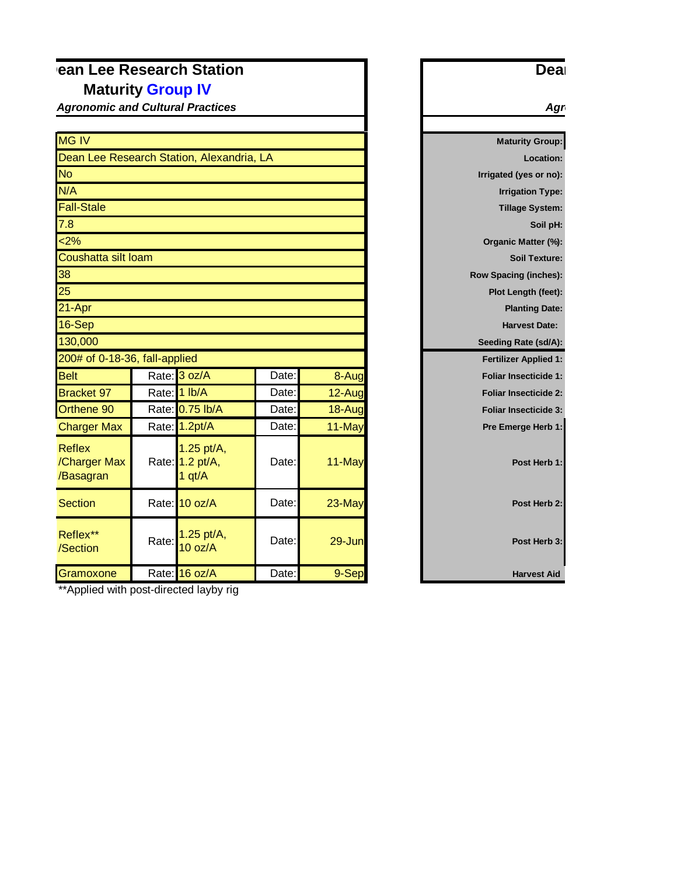### **Pean Lee Research Station Maturity Group IV**

*Agronomic and Cultural Practices*

| <b>MG IV</b>                               |       |                                           |       |           |
|--------------------------------------------|-------|-------------------------------------------|-------|-----------|
|                                            |       | Dean Lee Research Station, Alexandria, LA |       |           |
| <b>No</b>                                  |       |                                           |       |           |
| N/A                                        |       |                                           |       |           |
| <b>Fall-Stale</b>                          |       |                                           |       |           |
| 7.8                                        |       |                                           |       |           |
| 2%                                         |       |                                           |       |           |
| Coushatta silt loam                        |       |                                           |       |           |
| 38                                         |       |                                           |       |           |
| 25                                         |       |                                           |       |           |
| 21-Apr                                     |       |                                           |       |           |
| 16-Sep                                     |       |                                           |       |           |
| 130,000                                    |       |                                           |       |           |
| 200# of 0-18-36, fall-applied              |       |                                           |       |           |
| <b>Belt</b>                                |       | Rate: 3 oz/A                              | Date: | 8-Aug     |
| <b>Bracket 97</b>                          |       | Rate: 1 lb/A                              | Date: | $12$ -Aug |
| Orthene 90                                 |       | Rate: 0.75 lb/A                           | Date: | 18-Aug    |
| <b>Charger Max</b>                         |       | Rate: 1.2pt/A                             | Date: | 11-May    |
| <b>Reflex</b><br>/Charger Max<br>/Basagran |       | 1.25 pt/A,<br>Rate: 1.2 pt/A,<br>1 $qt/A$ | Date: | 11-May    |
| <b>Section</b>                             |       | Rate: 10 oz/A                             | Date: | 23-May    |
| Reflex**<br>/Section                       | Rate: | 1.25 pt/A,<br>10 oz/A                     | Date: | 29-Jun    |
| Gramoxone                                  |       | Rate: 16 oz/A                             | Date: | 9-Sep     |

**Maturity Group: Location: Irrigated (yes or no): Irrigation Type: Tillage System: Soil pH: Organic Matter (%): Soil Texture: Row Spacing (inches): Plot Length (feet): Planting Date: Harvest Date: Seeding Rate (sd/A): Fertilizer Applied 1: Foliar Insecticide 1: Foliar Insecticide 2: Foliar Insecticide 3: Pre Emerge Herb 1:** Post Herb 1: Agr

Deal

\*\*Applied with post-directed layby rig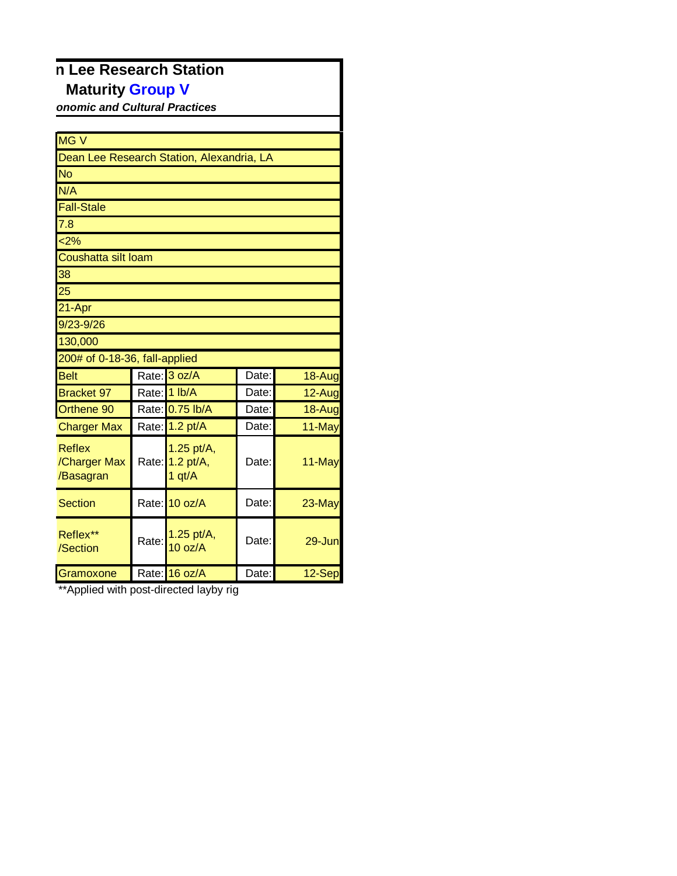## **n Lee Research Station Maturity Group V**

**onomic and Cultural Practices** 

| <b>MGV</b>                                 |       |                                           |       |        |
|--------------------------------------------|-------|-------------------------------------------|-------|--------|
| Dean Lee Research Station, Alexandria, LA  |       |                                           |       |        |
| <b>No</b>                                  |       |                                           |       |        |
| N/A                                        |       |                                           |       |        |
| Fall-Stale                                 |       |                                           |       |        |
| $\overline{7.8}$                           |       |                                           |       |        |
| 2%                                         |       |                                           |       |        |
| Coushatta silt loam                        |       |                                           |       |        |
| 38                                         |       |                                           |       |        |
| $\overline{25}$                            |       |                                           |       |        |
| 21-Apr                                     |       |                                           |       |        |
| $9/23 - 9/26$                              |       |                                           |       |        |
| 130,000                                    |       |                                           |       |        |
| 200# of 0-18-36, fall-applied              |       |                                           |       |        |
| <b>Belt</b>                                |       | Rate: 3 oz/A                              | Date: | 18-Aug |
| <b>Bracket 97</b>                          |       | Rate: 1 lb/A                              | Date: | 12-Aug |
| Orthene 90                                 |       | Rate: 0.75 lb/A                           | Date: | 18-Aug |
| <b>Charger Max</b>                         |       | Rate: 1.2 pt/A                            | Date: | 11-May |
| <b>Reflex</b><br>/Charger Max<br>/Basagran |       | 1.25 pt/A,<br>Rate: 1.2 pt/A,<br>1 $qt/A$ | Date: | 11-May |
| <b>Section</b>                             |       | Rate: 10 oz/A                             | Date: | 23-May |
| Reflex**<br>/Section                       | Rate: | 1.25 pt/A,<br>10 oz/A                     | Date: | 29-Jun |
| Gramoxone                                  |       | Rate: 16 oz/A                             | Date: | 12-Sep |

\*\*Applied with post-directed layby rig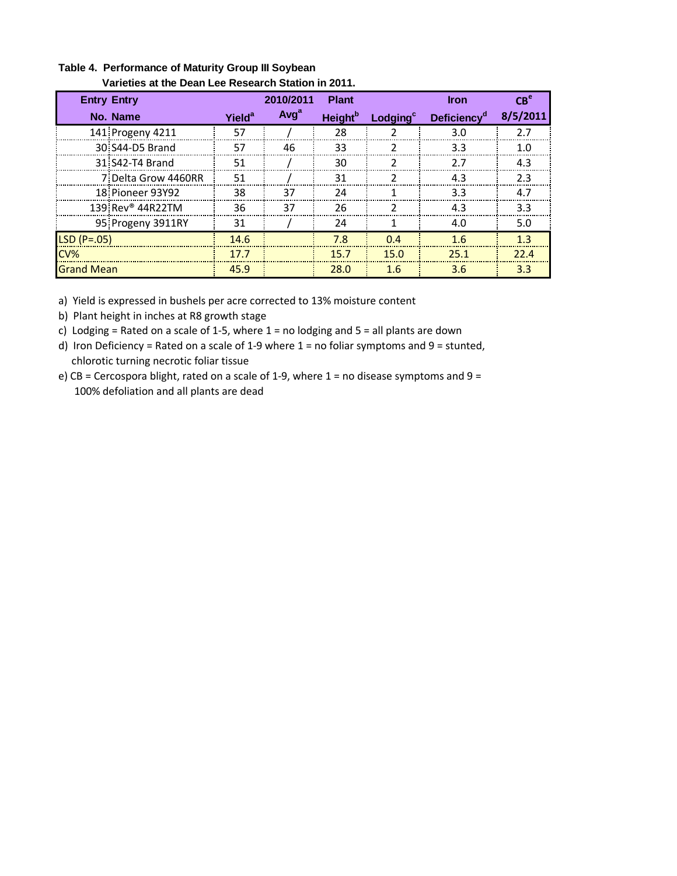| <b>Entry Entry</b>           |                    | 2010/2011        | <b>Plant</b>               |                      | <b>Iron</b>                   | $CR^e$   |  |  |  |
|------------------------------|--------------------|------------------|----------------------------|----------------------|-------------------------------|----------|--|--|--|
| No. Name                     | Yield <sup>a</sup> | Avg <sup>a</sup> | <b>Height</b> <sup>b</sup> | Lodging <sup>c</sup> | <b>Deficiency<sup>a</sup></b> | 8/5/2011 |  |  |  |
| 141 Progeny 4211             | 57                 |                  | 28                         |                      | 3.0                           | 2.7      |  |  |  |
| 30. S44-D5 Brand             | 57                 | 46               | 33                         |                      | 3.3                           | 1.0      |  |  |  |
| 31 S42-T4 Brand              | 51                 |                  | 30                         |                      | 27                            | 4.3      |  |  |  |
| 7 Delta Grow 4460RR          | 51                 |                  | 31                         |                      | 4.3                           | 2.3      |  |  |  |
| 18 Pioneer 93Y92             | 38                 | 37               | 24                         |                      | 3.3                           | 4.7      |  |  |  |
| 139 Rev <sup>®</sup> 44R22TM | 36                 | 37               | 26                         |                      | 4.3                           | 3.3      |  |  |  |
| 95 Progeny 3911RY            | 31                 |                  | 24                         |                      | 4.0                           | 5.0      |  |  |  |
| $LSD(P=.05)$                 | 14.6               |                  | 7.8                        | 0.4                  | 1.6                           | 1.3      |  |  |  |
| CV%                          | 17.7               |                  | 15.7                       | 15.0                 | 25.1                          | 22.4     |  |  |  |
| <b>Grand Mean</b>            | 45.9               |                  | 28.0                       | 1.6                  | 3.6                           | 3.3      |  |  |  |

#### **Table 4. Performance of Maturity Group III Soybean Varieties at the Dean Lee Research Station in 2011.**

a) Yield is expressed in bushels per acre corrected to 13% moisture content

- b) Plant height in inches at R8 growth stage
- c) Lodging = Rated on a scale of 1-5, where  $1 =$  no lodging and  $5 =$  all plants are down
- d) Iron Deficiency = Rated on a scale of 1-9 where 1 = no foliar symptoms and 9 = stunted, chlorotic turning necrotic foliar tissue
- e) CB = Cercospora blight, rated on a scale of 1-9, where  $1$  = no disease symptoms and  $9$  = 100% defoliation and all plants are dead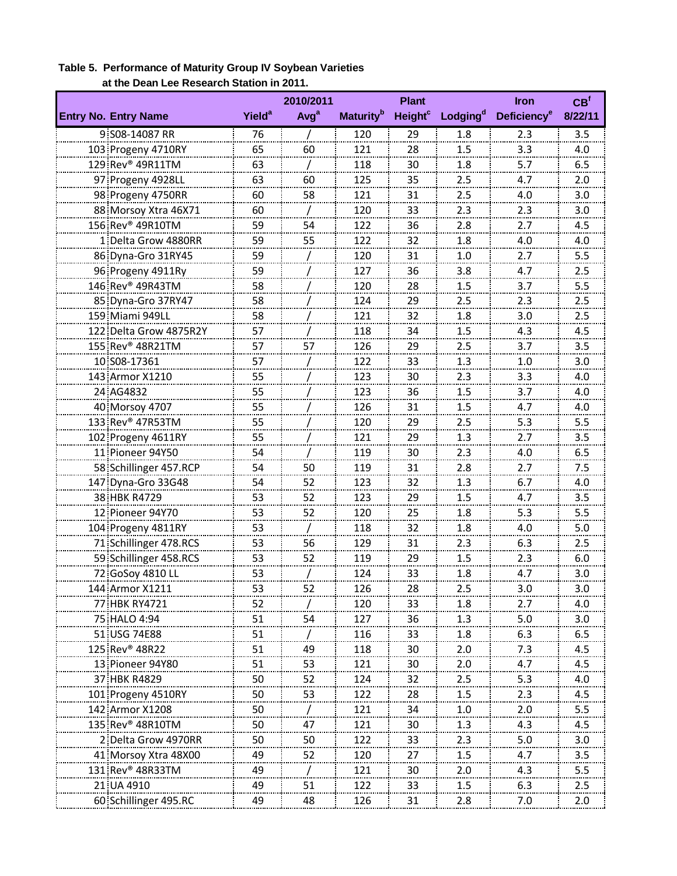|                                    |                          | 2010/2011        |                              | <b>Plant</b>              |                      | <b>Iron</b>                   | CB <sup>f</sup> |
|------------------------------------|--------------------------|------------------|------------------------------|---------------------------|----------------------|-------------------------------|-----------------|
| <b>Entry No. Entry Name</b>        | <b>Yield<sup>a</sup></b> | Avg <sup>a</sup> | <b>Maturity</b> <sup>b</sup> | <b>Height<sup>c</sup></b> | Lodging <sup>d</sup> | <b>Deficiency<sup>e</sup></b> | 8/22/11         |
| 9 S08-14087 RR                     | 76                       |                  | 120                          | 29                        | 1.8                  | 2.3                           | 3.5             |
| 103 Progeny 4710RY                 | 65                       | 60               | 121                          | 28                        | 1.5                  | 3.3                           | 4.0             |
| 129 Rev <sup>®</sup> 49R11TM       | 63                       |                  | 118                          | 30                        | 1.8                  | 5.7                           | 6.5             |
| 97 Progeny 4928LL                  | 63                       | 60               | 125                          | 35                        | 2.5<br>.             | 4.7                           | 2.0<br>-------  |
| 98 Progeny 4750RR                  | 60                       | 58               | 121                          | 31                        | 2.5                  | 4.0                           | 3.0             |
| 88 Morsoy Xtra 46X71               | 60                       |                  | 120                          | 33                        | 2.3                  | 2.3                           | 3.0             |
| 156 Rev® 49R10TM                   | 59                       | 54               | 122                          | 36                        | 2.8                  | 2.7                           | 4.5             |
| 1 Delta Grow 4880RR                | 59                       | 55               | 122                          | 32                        | 1.8                  | 4.0                           | 4.0             |
| 86 Dyna-Gro 31RY45                 | 59                       |                  | 120                          | 31                        | 1.0                  | 2.7                           | 5.5             |
| 96 Progeny 4911Ry                  | 59                       |                  | 127                          | 36                        | 3.8                  | 4.7                           | 2.5             |
| 146 Rev <sup>®</sup> 49R43TM       | 58                       |                  | 120                          | 28                        | 1.5<br>-------       | 3.7<br>.                      | 5.5<br>-------  |
| 85 Dyna-Gro 37RY47                 | 58                       |                  | 124                          | 29                        | 2.5                  | 2.3                           | 2.5             |
| 159 Miami 949LL                    | 58                       |                  | 121                          | 32                        | 1.8                  | 3.0                           | 2.5             |
| 122 Delta Grow 4875R2Y             | 57                       |                  | 118                          | 34                        | 1.5                  | 4.3                           | 4.5             |
| 155 Rev® 48R21TM                   | 57                       | 57               | 126                          | 29                        | 2.5                  | 3.7                           | 3.5             |
| 10 S08-17361                       | 57                       |                  | 122                          | 33                        | 1.3                  | 1.0                           | 3.0             |
| 143 Armor X1210                    | 55                       |                  | 123                          | 30                        | 2.3                  | 3.3                           | 4.0             |
| 24 AG4832                          | 55<br>55                 |                  | 123<br>126                   | 36<br>31                  | 1.5<br>1.5           | 3.7<br>4.7                    | 4.0<br>4.0      |
| 40 Morsoy 4707<br>133 Rev® 47R53TM | 55                       |                  | 120                          | 29                        | 2.5                  | 5.3                           | 5.5             |
| 102 Progeny 4611RY                 | 55                       |                  | 121                          | 29                        | 1.3                  | 2.7                           | 3.5             |
| 11 Pioneer 94Y50                   | 54                       |                  | 119                          | 30                        | 2.3                  | 4.0                           | 6.5             |
| 58 Schillinger 457.RCP             | 54                       | 50               | 119                          | 31                        | 2.8                  | 2.7                           | 7.5             |
| 147 Dyna-Gro 33G48                 | 54                       | 52               | 123                          | 32                        | 1.3                  | 6.7                           | 4.0             |
| 38 HBK R4729                       | 53                       | 52               | 123                          | 29                        | 1.5                  | 4.7                           | 3.5             |
| 12 Pioneer 94Y70                   | 53                       | 52               | 120                          | 25                        | 1.8                  | 5.3                           | 5.5             |
| 104 Progeny 4811RY                 | 53                       |                  | 118                          | 32                        | 1.8                  | 4.0                           | 5.0             |
| 71 Schillinger 478.RCS             | 53                       | 56               | 129                          | 31                        | 2.3                  | 6.3                           | 2.5             |
| 59 Schillinger 458.RCS             | 53                       | 52               | 119                          | 29                        | 1.5                  | 2.3                           | 6.0             |
| 72 GoSoy 4810 LL                   | 53                       |                  | 124                          | 33                        | 1.8                  | 4.7                           | 3.0             |
| 144 Armor X1211                    | 53                       | 52               | 126                          | 28                        | 2.5                  | 3.0                           | 3.0             |
| 77 HBK RY4721                      | 52                       |                  | 120                          | 33                        | 1.8                  | 2.7                           | 4.0             |
| 75 HALO 4:94                       | 51                       | 54               | 127                          | 36                        | 1.3                  | 5.0                           | 3.0             |
| 51 USG 74E88                       | 51                       |                  | 116                          | 33                        | 1.8                  | 6.3                           | 6.5             |
| 125 Rev <sup>®</sup> 48R22         | 51                       | 49               | 118                          | 30                        | 2.0                  | 7.3                           | 4.5             |
| 13 Pioneer 94Y80                   | 51                       | <u>53</u>        | <u> 121</u>                  | 30                        | 2.0                  | 4.7                           | 4.5             |
| 37 HBK R4829                       | 50                       | 52               | 124                          | 32                        | 2.5                  | 5.3                           | 4.0             |
| 101 Progeny 4510RY                 | 50                       | 53               | 122                          | 28                        | 1.5                  | 2.3                           | 4.5             |
| 142 Armor X1208                    | 50                       |                  | 121                          | 34                        | 1.0                  | 2.0                           | 5.5             |
| 135 Rev <sup>®</sup> 48R10TM       | 50                       | 47               | 121                          | 30                        | 1.3                  | 4.3                           | 4.5             |
| 2 Delta Grow 4970RR                | 50                       | 50               | 122                          | 33                        | 2.3                  | 5.0                           | 3.0             |
| 41 Morsoy Xtra 48X00               | 49                       | 52               | 120                          | 27                        | 1.5                  | 4.7                           | 3.5             |
| 131 Rev <sup>®</sup> 48R33TM       | 49                       |                  | 121                          | 30                        | 2.0                  | 4.3                           | 5.5             |
| 21 UA 4910                         | 49                       | 51               | 122                          | 33                        | 1.5                  | 6.3                           | 2.5             |
| 60 Schillinger 495.RC              | 49                       | 48               | 126                          | 31                        | 2.8                  | 7.0                           | 2.0             |

#### **Table 5. Performance of Maturity Group IV Soybean Varieties at the Dean Lee Research Station in 2011.**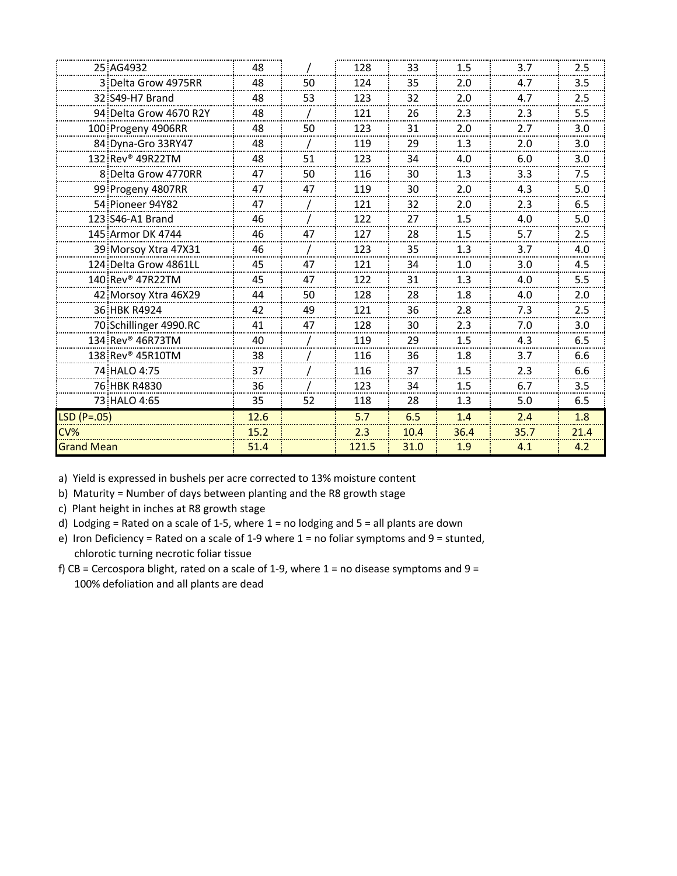| 25 AG4932                    | 48   |    | 128   | 33   | 1.5  | 3.7  | 2.5  |
|------------------------------|------|----|-------|------|------|------|------|
| 3 Delta Grow 4975RR          | 48   | 50 | 124   | 35   | 2.0  | 4.7  | 3.5  |
| 32 S49-H7 Brand              | 48   | 53 | 123   | 32   | 2.0  | 4.7  | 2.5  |
| 94 Delta Grow 4670 R2Y       | 48   |    | 121   | 26   | 2.3  | 2.3  | 5.5  |
| 100 Progeny 4906RR           | 48   | 50 | 123   | 31   | 2.0  | 2.7  | 3.0  |
| 84 Dyna-Gro 33RY47           | 48   |    | 119   | 29   | 1.3  | 2.0  | 3.0  |
| 132 Rev® 49R22TM             | 48   | 51 | 123   | 34   | 4.0  | 6.0  | 3.0  |
| 8 Delta Grow 4770RR          | 47   | 50 | 116   | 30   | 1.3  | 3.3  | 7.5  |
| 99 Progeny 4807RR            | 47   | 47 | 119   | 30   | 2.0  | 4.3  | 5.0  |
| 54 Pioneer 94Y82             | 47   |    | 121   | 32   | 2.0  | 2.3  | 6.5  |
| 123 S46-A1 Brand             | 46   |    | 122   | 27   | 1.5  | 4.0  | 5.0  |
| 145 Armor DK 4744            | 46   | 47 | 127   | 28   | 1.5  | 5.7  | 2.5  |
| 39 Morsoy Xtra 47X31         | 46   |    | 123   | 35   | 1.3  | 3.7  | 4.0  |
| 124 Delta Grow 4861LL        | 45   | 47 | 121   | 34   | 1.0  | 3.0  | 4.5  |
| 140 Rev <sup>®</sup> 47R22TM | 45   | 47 | 122   | 31   | 1.3  | 4.0  | 5.5  |
| 42 Morsoy Xtra 46X29         | 44   | 50 | 128   | 28   | 1.8  | 4.0  | 2.0  |
| 36 HBK R4924                 | 42   | 49 | 121   | 36   | 2.8  | 7.3  | 2.5  |
| 70 Schillinger 4990.RC       | 41   | 47 | 128   | 30   | 2.3  | 7.0  | 3.0  |
| 134 Rev <sup>®</sup> 46R73TM | 40   |    | 119   | 29   | 1.5  | 4.3  | 6.5  |
| 138 Rev® 45R10TM             | 38   |    | 116   | 36   | 1.8  | 3.7  | 6.6  |
| 74 HALO 4:75                 | 37   |    | 116   | 37   | 1.5  | 2.3  | 6.6  |
| 76 HBK R4830                 | 36   |    | 123   | 34   | 1.5  | 6.7  | 3.5  |
| 73 HALO 4:65                 | 35   | 52 | 118   | 28   | 1.3  | 5.0  | 6.5  |
| $LSD (P=.05)$                | 12.6 |    | 5.7   | 6.5  | 1.4  | 2.4  | 1.8  |
|                              | 15.2 |    | 2.3   | 10.4 | 36.4 | 35.7 | 21.4 |
| <b>Grand Mean</b>            | 51.4 |    | 121.5 | 31.0 | 1.9  | 4.1  | 4.2  |
|                              |      |    |       |      |      |      |      |

b) Maturity = Number of days between planting and the R8 growth stage

c) Plant height in inches at R8 growth stage

d) Lodging = Rated on a scale of 1-5, where = no lodging and  $5$  = all plants are down

- e) Iron Deficiency = Rated on a scale of 1-9 where 1 = no foliar symptoms and 9 = stunted, chlorotic turning necrotic foliar tissue
- f) CB = Cercospora blight, rated on a scale of 1-9, where = no disease symptoms and  $9 =$ 100% defoliation and all plants are dead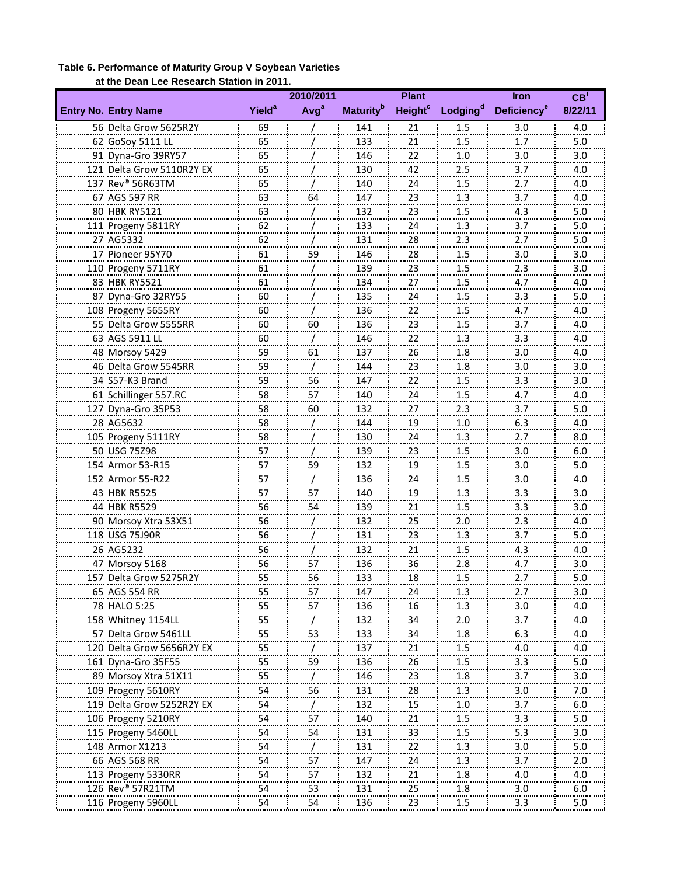### **Table 6. Performance of Maturity Group V Soybean Varieties at the Dean Lee Research Station in 2011.**

|                              |                    | 2010/2011        |                              | <b>Plant</b>              |                      | <b>Iron</b>             | CB <sup>f</sup> |
|------------------------------|--------------------|------------------|------------------------------|---------------------------|----------------------|-------------------------|-----------------|
| <b>Entry No. Entry Name</b>  | Yield <sup>a</sup> | Avg <sup>a</sup> | <b>Maturity</b> <sup>b</sup> | <b>Height<sup>c</sup></b> | Lodging <sup>d</sup> | Deficiency <sup>e</sup> | 8/22/11         |
| 56 Delta Grow 5625R2Y        | 69                 |                  | 141                          | 21                        | 1.5                  | 3.0                     | 4.0             |
| 62 GoSoy 5111 LL             | 65<br>.            |                  | 133                          | 21<br>.                   | 1.5<br>.             | 1.7<br>                 | 5.0<br>         |
| 91 Dyna-Gro 39RY57           | 65                 |                  | 146                          | 22                        | 1.0                  | 3.0                     | 3.0             |
| 121 Delta Grow 5110R2Y EX    | 65                 |                  | 130                          | 42                        | 2.5                  | 3.7                     | 4.0             |
| 137 Rev® 56R63TM             | 65                 |                  | 140                          | 24                        | 1.5                  | 2.7                     | 4.0             |
| 67 AGS 597 RR                | 63                 | 64               | 147                          | 23                        | 1.3                  | 3.7                     | 4.0             |
| 80 HBK RY5121                | 63                 |                  | 132                          | 23                        | 1.5                  | <br>4.3                 | 5.0             |
| 111 Progeny 5811RY           | 62                 |                  | 133                          | 24                        | 1.3                  | 3.7                     | 5.0             |
| 27 AG5332                    | 62                 |                  | 131                          | 28                        | 2.3                  | 2.7                     | 5.0             |
| 17 Pioneer 95Y70             | 61                 | 59               | 146                          | 28                        | 1.5                  | 3.0                     | 3.0             |
| 110 Progeny 5711RY           | .<br>61            |                  | 139                          | 23                        | 1.5                  | <br>2.3                 | <br>3.0         |
| 83 HBK RY5521                | 61                 |                  | 134                          | 27                        | 1.5                  | 4.7                     | 4.0             |
| 87 Dyna-Gro 32RY55           | 60                 |                  | 135                          | 24                        | 1.5                  | 3.3                     | 5.0             |
| 108 Progeny 5655RY           | 60                 |                  | 136                          | 22                        | 1.5                  | 4.7                     | 4.0             |
| 55 Delta Grow 5555RR         | 60                 | 60               | 136                          | 23                        | 1.5                  | 3.7                     | 4.0             |
| 63 AGS 5911 LL               | 60                 |                  | 146                          | 22                        | 1.3                  | 3.3                     | 4.0             |
| 48 Morsoy 5429               | 59                 | 61               | 137                          | 26                        | 1.8                  | 3.0                     | 4.0             |
| 46 Delta Grow 5545RR         | 59                 |                  | 144                          | 23                        | 1.8                  | 3.0                     | 3.0             |
| 34 S57-K3 Brand              | <br>59             | 56               | 147                          | 22                        | 1.5                  | 3.3                     | 3.0             |
| 61 Schillinger 557.RC        | .<br>58            | 57               | 140                          | .<br>24                   | .<br>1.5             | -------<br>4.7          | .<br>4.0        |
| 127 Dyna-Gro 35P53           | 58                 | 60               | 132                          | 27                        | 2.3                  | 3.7                     | 5.0             |
| 28 AG5632                    | 58                 |                  | 144                          | 19                        | 1.0                  | 6.3                     | 4.0             |
| 105 Progeny 5111RY           | 58                 |                  | 130                          | 24                        | 1.3                  | 2.7                     | 8.0             |
| 50 USG 75Z98                 | .<br>57            |                  | 139                          | 23                        | 1.5                  | <br>3.0                 | 6.0             |
|                              |                    |                  |                              |                           |                      |                         |                 |
| 154 Armor 53-R15             | 57                 | 59               | 132                          | 19                        | 1.5<br>1.5           | 3.0<br>------<br>3.0    | 5.0<br>4.0      |
| 152 Armor 55-R22             | 57                 |                  | 136                          | 24                        |                      |                         |                 |
| 43 HBK R5525                 | 57<br>.            | 57               | 140                          | 19                        | 1.3                  | 3.3<br>-------          | 3.0             |
| 44 HBK R5529                 | 56                 | 54               | 139                          | 21                        | 1.5                  | 3.3                     | 3.0             |
| 90 Morsoy Xtra 53X51         | 56                 |                  | 132                          | 25                        | 2.0                  | 2.3                     | 4.0             |
| 118 USG 75J90R               | 56                 |                  | 131                          | 23                        | 1.3                  | 3.7                     | 5.0             |
| 26 AG5232                    | 56<br>             |                  | 132                          | 21                        | 1.5                  | 4.3                     | 4.0             |
| 47 Morsoy 5168               | 56                 | 57               | 136                          | 36                        | 2.8                  | 4.7                     | 3.0             |
| 157 Delta Grow 5275R2Y       | 55                 | 56               | 133                          | 18                        | 1.5                  | 2.7                     | 5.0             |
| 65 AGS 554 RR                | 55                 | 57               | 147                          | 24                        | 1.3                  | 2.7                     | 3.0             |
| 78 HALO 5:25                 | 55<br>             | 57               | 136                          | 16                        | 1.3                  | 3.0                     | 4.0             |
| 158 Whitney 1154LL           | 55                 |                  | 132                          | 34                        | 2.0                  | 3.7                     | 4.0             |
| 57 Delta Grow 5461LL         | 55                 | 53               | 133                          | 34                        | 1.8                  | 6.3                     | 4.0             |
| 120 Delta Grow 5656R2Y EX    | 55                 |                  | 137                          | 21                        | 1.5                  | 4.0                     | 4.0             |
| 161 Dyna-Gro 35F55           | 55                 | 59               | 136                          | 26                        | 1.5                  | 3.3                     | 5.0             |
| 89 Morsoy Xtra 51X11         | 55                 |                  | 146                          | 23                        | 1.8                  | 3.7                     | 3.0             |
| 109 Progeny 5610RY           | 54                 | 56               | 131                          | 28                        | 1.3                  | $\frac{3.0}{2}$         | 7.0             |
| 119 Delta Grow 5252R2Y EX    | 54                 |                  | 132                          | 15                        | $\frac{1.0}{1}$      | $\frac{3.7}{1}$         | 6.0             |
| 106 Progeny 5210RY           | 54                 | 57               | 140                          | $\overline{21}$           | 1.5                  | 3.3                     | $5.0\,$         |
| 115 Progeny 5460LL           | 54                 | 54               | 131                          | 33                        | 1.5                  | 5.3                     | 3.0             |
| 148 Armor X1213              | 54                 |                  | 131                          | 22                        | 1.3                  | 3.0                     | 5.0             |
| 66 AGS 568 RR                | 54                 | 57               | 147                          | 24                        | 1.3                  | 3.7                     | 2.0             |
| 113 Progeny 5330RR           | 54                 | 57               | 132                          | 21                        | 1.8                  | 4.0                     | 4.0             |
| 126 Rev <sup>®</sup> 57R21TM | 54                 | 53               | 131                          | 25                        | 1.8                  | 3.0                     | 6.0             |
| 116 Progeny 5960LL           | 54                 | 54               | 136                          | 23                        | 1.5                  | 3.3                     | 5.0             |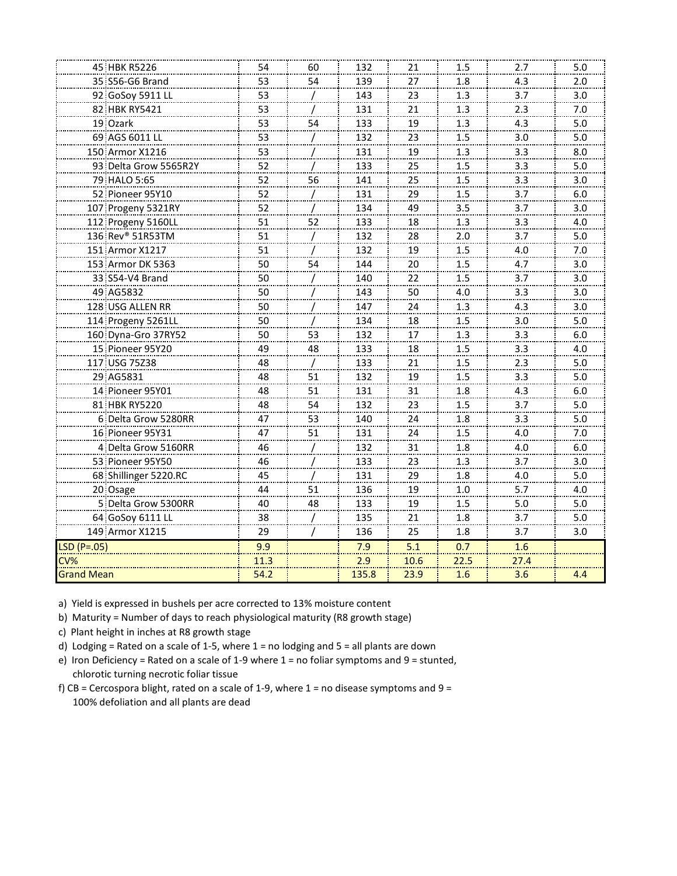|                   | 45 HBK R5226          | 54      | 60 | 132   | 21               | 1.5  | 2.7  | 5.0 |
|-------------------|-----------------------|---------|----|-------|------------------|------|------|-----|
|                   | 35 S56-G6 Brand       | 53      | 54 | 139   | 27               | 1.8  | 4.3  | 2.0 |
|                   | 92 GoSoy 5911 LL      | 53      |    | 143   | 23               | 1.3  | 3.7  | 3.0 |
|                   | 82 HBK RY5421         | 53      |    | 131   | 21               | 1.3  | 2.3  | 7.0 |
|                   | 19 Ozark              | 53      | 54 | 133   | 19               | 1.3  | 4.3  | 5.0 |
|                   | 69 AGS 6011 LL        | 53      |    | 132   | 23               | 1.5  | 3.0  | 5.0 |
|                   | 150 Armor X1216       | 53      |    | 131   | 19               | 1.3  | 3.3  | 8.0 |
|                   | 93 Delta Grow 5565R2Y | 52      |    | 133   | 25               | 1.5  | 3.3  | 5.0 |
|                   | 79 HALO 5:65          | 52      | 56 | 141   | 25               | 1.5  | 3.3  | 3.0 |
|                   | 52 Pioneer 95Y10      | 52      |    | 131   | 29               | 1.5  | 3.7  | 6.0 |
|                   | 107 Progeny 5321RY    | 52      |    | 134   | 49               | 3.5  | 3.7  | 3.0 |
|                   | 112 Progeny 5160LL    | 51      | 52 | 133   | 18               | 1.3  | 3.3  | 4.0 |
|                   | 136 Rev® 51R53TM      | 51      |    | 132   | 28               | 2.0  | 3.7  | 5.0 |
|                   | 151 Armor X1217       | 51      |    | 132   | 19               | 1.5  | 4.0  | 7.0 |
|                   | 153 Armor DK 5363     | 50      | 54 | 144   | 20               | 1.5  | 4.7  | 3.0 |
|                   | 33 S54-V4 Brand       | 50      |    | 140   | 22               | 1.5  | 3.7  | 3.0 |
|                   | 49 AG5832             | 50      |    | 143   | 50               | 4.0  | 3.3  | 3.0 |
|                   | 128 USG ALLEN RR      | 50      |    | 147   | 24               | 1.3  | 4.3  | 3.0 |
|                   | 114 Progeny 5261LL    | 50      |    | 134   | 18               | 1.5  | 3.0  | 5.0 |
|                   | 160 Dyna-Gro 37RY52   | 50      | 53 | 132   | 17               | 1.3  | 3.3  | 6.0 |
|                   | 15 Pioneer 95Y20      | 49      | 48 | 133   | 18               | 1.5  | 3.3  | 4.0 |
|                   | 117 USG 75Z38         | 48      |    | 133   | 21               | 1.5  | 2.3  | 5.0 |
|                   | 29 AG5831             | 48      | 51 | 132   | 19               | 1.5  | 3.3  | 5.0 |
|                   | 14 Pioneer 95Y01      | 48      | 51 | 131   | 31               | 1.8  | 4.3  | 6.0 |
|                   | 81 HBK RY5220         | 48      | 54 | 132   | 23               | 1.5  | 3.7  | 5.0 |
|                   | 6 Delta Grow 5280RR   | 47      | 53 | 140   | 24               | 1.8  | 3.3  | 5.0 |
|                   | 16 Pioneer 95Y31      | 47      | 51 | 131   | 24               | 1.5  | 4.0  | 7.0 |
|                   | 4 Delta Grow 5160RR   | 46      |    | 132   | 31               | 1.8  | 4.0  | 6.0 |
|                   | 53 Pioneer 95Y50      | 46      |    | 133   | 23               | 1.3  | 3.7  | 3.0 |
|                   | 68 Shillinger 5220.RC | 45      |    | 131   | 29               | 1.8  | 4.0  | 5.0 |
|                   | 20 Osage              | 44      | 51 | 136   | 19               | 1.0  | 5.7  | 4.0 |
|                   | 5 Delta Grow 5300RR   | 40      | 48 | 133   | 19               | 1.5  | 5.0  | 5.0 |
|                   | 64 GoSoy 6111 LL      | 38<br>. |    | 135   | 21               | 1.8  | 3.7  | 5.0 |
|                   | 149 Armor X1215       | 29      |    | 136   | 25               | 1.8  | 3.7  | 3.0 |
| $LSD(P=.05)$      |                       | 9.9     |    | 7.9   | $\overline{5.1}$ | 0.7  | 1.6  |     |
| CV%               |                       | 11.3    |    | 2.9   | 10.6             | 22.5 | 27.4 |     |
| <b>Grand Mean</b> |                       | 54.2    |    | 135.8 | 23.9             | 1.6  | 3.6  | 4.4 |
|                   |                       |         |    |       |                  |      |      |     |

b) Maturity = Number of days to reach physiological maturity (R8 growth stage)

c) Plant height in inches at R8 growth stage

d) Lodging = Rated on a scale of 1-5, where 1 = no lodging and 5 = all plants are down

e) Iron Deficiency = Rated on a scale of 1-9 where = no foliar symptoms and  $9$  = stunted, chlorotic turning necrotic foliar tissue

f) CB = Cercospora blight, rated on a scale of 1-9, where  $1 =$  no disease symptoms and  $9 =$ 100% defoliation and all plants are dead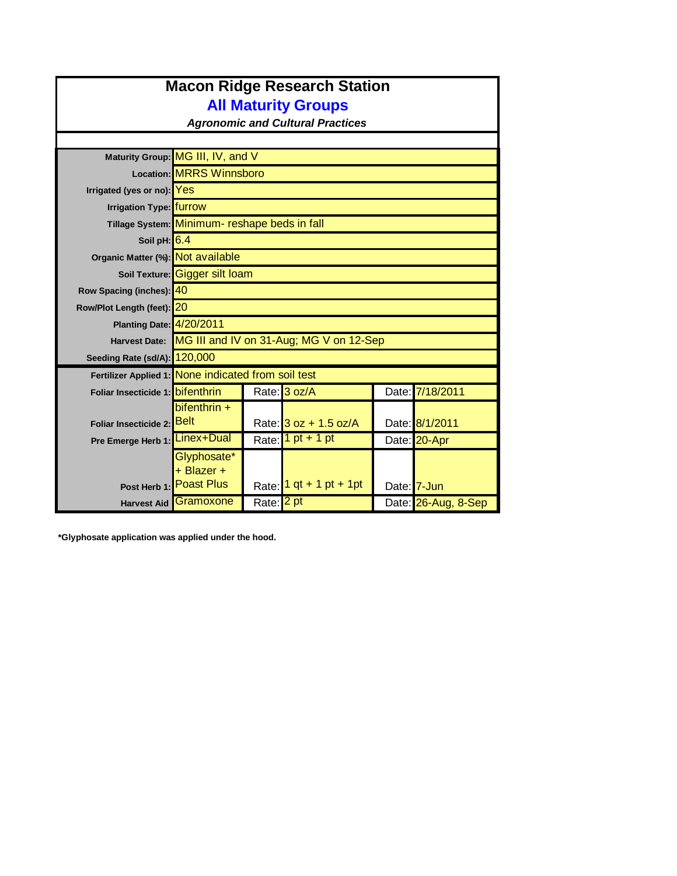| <b>Macon Ridge Research Station</b><br><b>All Maturity Groups</b> |                                                |                      |                                         |  |                     |  |  |  |
|-------------------------------------------------------------------|------------------------------------------------|----------------------|-----------------------------------------|--|---------------------|--|--|--|
| <b>Agronomic and Cultural Practices</b>                           |                                                |                      |                                         |  |                     |  |  |  |
|                                                                   | Maturity Group: MG III, IV, and V              |                      |                                         |  |                     |  |  |  |
|                                                                   | <b>Location: MRRS Winnsboro</b>                |                      |                                         |  |                     |  |  |  |
| Irrigated (yes or no): Yes                                        |                                                |                      |                                         |  |                     |  |  |  |
| Irrigation Type: furrow                                           |                                                |                      |                                         |  |                     |  |  |  |
|                                                                   | Tillage System: Minimum- reshape beds in fall  |                      |                                         |  |                     |  |  |  |
| Soil pH: 6.4                                                      |                                                |                      |                                         |  |                     |  |  |  |
| Organic Matter (%): Not available                                 |                                                |                      |                                         |  |                     |  |  |  |
|                                                                   | Soil Texture: Gigger silt loam                 |                      |                                         |  |                     |  |  |  |
| Row Spacing (inches): 40                                          |                                                |                      |                                         |  |                     |  |  |  |
| Row/Plot Length (feet): 20                                        |                                                |                      |                                         |  |                     |  |  |  |
| Planting Date: 4/20/2011                                          |                                                |                      |                                         |  |                     |  |  |  |
| <b>Harvest Date:</b>                                              |                                                |                      | MG III and IV on 31-Aug; MG V on 12-Sep |  |                     |  |  |  |
| Seeding Rate (sd/A): 120,000                                      |                                                |                      |                                         |  |                     |  |  |  |
| Fertilizer Applied 1: None indicated from soil test               |                                                |                      |                                         |  |                     |  |  |  |
| Foliar Insecticide 1: bifenthrin                                  |                                                |                      | Rate: 3 oz/A                            |  | Date: 7/18/2011     |  |  |  |
| Foliar Insecticide 2:                                             | $b$ ifenthrin +<br><b>Belt</b>                 |                      | Rate: $3 oz + 1.5 oz/A$                 |  | Date: 8/1/2011      |  |  |  |
| Pre Emerge Herb 1: Linex+Dual                                     |                                                | Rate:                | $1 pt + 1 pt$                           |  | Date: 20-Apr        |  |  |  |
| Post Herb 1:                                                      | Glyphosate*<br>+ Blazer +<br><b>Poast Plus</b> | Rate:                | 1 qt + 1 pt + 1 pt                      |  | Date: 7-Jun         |  |  |  |
| <b>Harvest Aid</b>                                                | Gramoxone                                      | Rate: <sup>2pt</sup> |                                         |  | Date: 26-Aug, 8-Sep |  |  |  |

**\*Glyphosate application was applied under the hood.**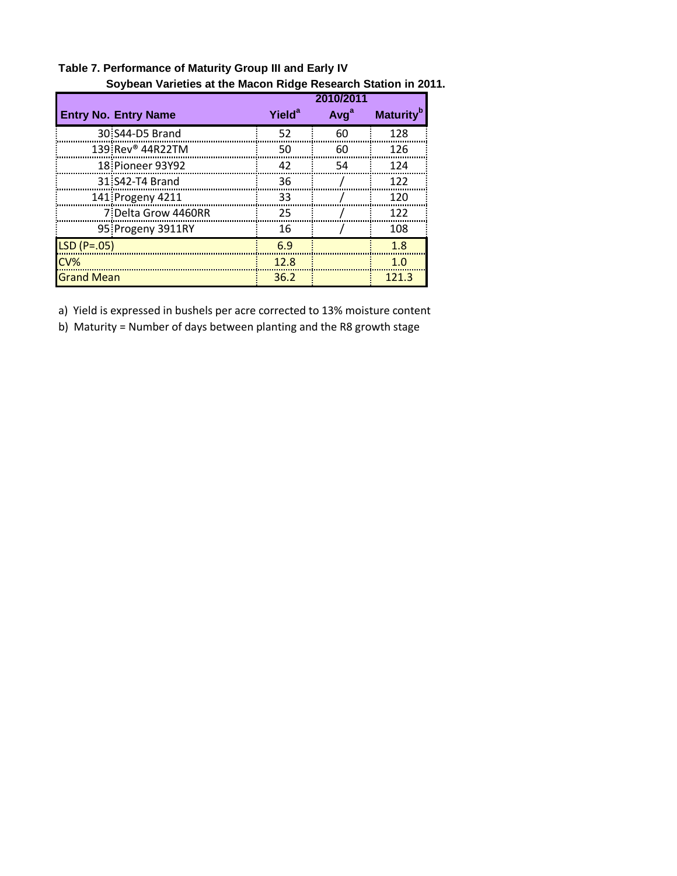|                             | 2010/2011          |                  |                              |  |  |  |
|-----------------------------|--------------------|------------------|------------------------------|--|--|--|
| <b>Entry No. Entry Name</b> | Yield <sup>a</sup> | Avg <sup>a</sup> | <b>Maturity</b> <sup>b</sup> |  |  |  |
| 30 S44-D5 Brand             | 52                 | 60               | 128                          |  |  |  |
| 139 Rev® 44R22TM            | 50                 | 60               | 126                          |  |  |  |
| 18 Pioneer 93Y92            | 42                 | 54               | 124                          |  |  |  |
| 31 S42-T4 Brand             | 36                 |                  | 122                          |  |  |  |
| 141 Progeny 4211            | 33                 |                  | 120                          |  |  |  |
| 7 Delta Grow 4460RR         | 25                 |                  | 122                          |  |  |  |
| 95 Progeny 3911RY           | 16                 |                  | 108                          |  |  |  |
| $LSD(P=.05)$                | 6.9                |                  | 1.8                          |  |  |  |
| CV%                         | 12.8               |                  | 1.0                          |  |  |  |
| <b>Grand Mean</b>           | 36.2               |                  | 121.3                        |  |  |  |

**Table 7. Performance of Maturity Group III and Early IV Soybean Varieties at the Macon Ridge Research Station in 2011.**

b) Maturity = Number of days between planting and the R8 growth stage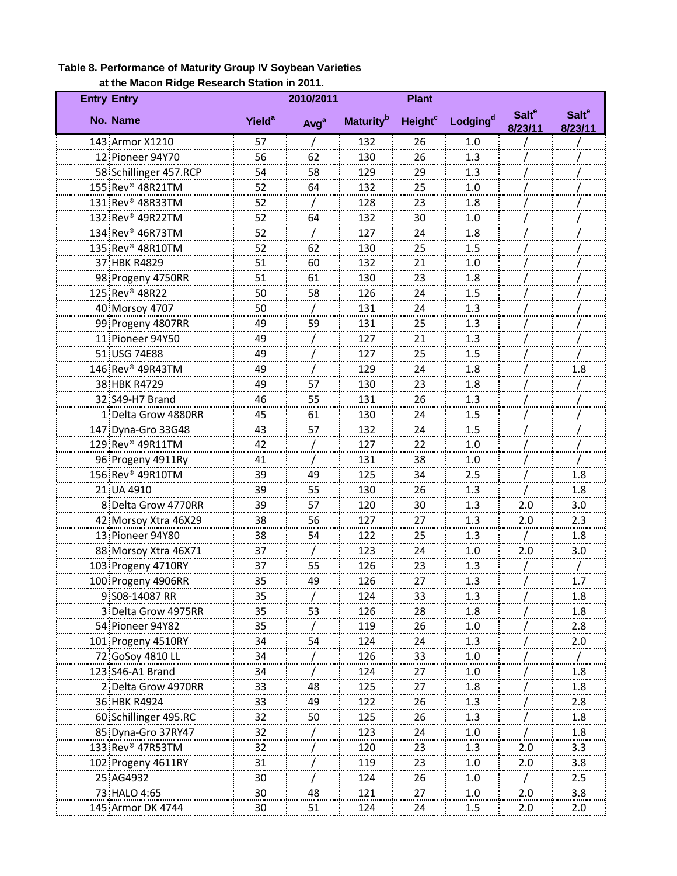| at the Macon Kidge Research Station in 2011.<br><b>Entry Entry</b> |                          | 2010/2011        |                              | <b>Plant</b>              |                      |                                    |                                    |
|--------------------------------------------------------------------|--------------------------|------------------|------------------------------|---------------------------|----------------------|------------------------------------|------------------------------------|
| No. Name                                                           | <b>Yield<sup>a</sup></b> | Avg <sup>a</sup> | <b>Maturity</b> <sup>b</sup> | <b>Height<sup>c</sup></b> | Lodging <sup>d</sup> | <b>Salt<sup>e</sup></b><br>8/23/11 | <b>Salt<sup>e</sup></b><br>8/23/11 |
| 143 Armor X1210                                                    | 57                       |                  | 132                          | 26                        | 1.0                  |                                    |                                    |
| 12 Pioneer 94Y70                                                   | 56                       | 62               | 130                          | 26                        | 1.3                  |                                    |                                    |
| 58 Schillinger 457.RCP                                             | 54                       | 58               | 129                          | 29                        | 1.3                  |                                    |                                    |
| 155 Rev <sup>®</sup> 48R21TM                                       | 52                       | 64               | 132                          | 25                        | 1.0                  |                                    |                                    |
| 131 Rev <sup>®</sup> 48R33TM                                       | 52                       |                  | 128                          | 23                        | 1.8                  |                                    |                                    |
| 132 Rev® 49R22TM                                                   | 52                       | 64               | 132                          | 30                        | 1.0                  |                                    |                                    |
| 134 Rev® 46R73TM                                                   | 52                       |                  | 127                          | 24                        | 1.8                  |                                    |                                    |
| 135 Rev <sup>®</sup> 48R10TM                                       | 52                       | 62               | 130                          | 25                        | 1.5                  |                                    |                                    |
| 37 HBK R4829                                                       | 51                       | 60               | 132                          | 21                        | 1.0                  |                                    |                                    |
| 98 Progeny 4750RR                                                  | 51                       | 61               | 130                          | 23                        | 1.8                  |                                    |                                    |
| 125 Rev <sup>®</sup> 48R22                                         | 50                       | 58               | 126                          | 24                        | 1.5                  |                                    |                                    |
| 40 Morsoy 4707                                                     | 50                       |                  | 131                          | 24                        | 1.3                  |                                    |                                    |
| 99 Progeny 4807RR                                                  | 49                       | 59               | 131                          | 25                        | 1.3                  |                                    |                                    |
| 11 Pioneer 94Y50                                                   | 49                       |                  | 127                          | 21                        | 1.3                  |                                    |                                    |
| 51 USG 74E88                                                       | 49                       |                  | 127                          | 25                        | 1.5                  |                                    |                                    |
| 146 Rev <sup>®</sup> 49R43TM                                       | 49                       |                  | 129                          | 24                        | 1.8                  |                                    | 1.8                                |
| 38 HBK R4729                                                       | 49                       | 57               | 130                          | 23                        | 1.8                  |                                    |                                    |
| 32 S49-H7 Brand                                                    | 46                       | 55               | 131                          | 26                        | 1.3                  |                                    |                                    |
| 1 Delta Grow 4880RR                                                | 45                       | 61               | 130                          | 24                        | 1.5                  |                                    |                                    |
| 147 Dyna-Gro 33G48                                                 | 43                       | 57               | 132                          | 24                        | 1.5                  |                                    |                                    |
| 129 Rev <sup>®</sup> 49R11TM                                       | ------<br>42             |                  | 127                          | 22                        | 1.0                  |                                    |                                    |
| 96 Progeny 4911Ry                                                  | 41                       |                  | 131                          | 38                        | 1.0                  |                                    |                                    |
| 156 Rev® 49R10TM                                                   | 39                       | 49               | 125                          | 34                        | 2.5                  |                                    | 1.8                                |
| 21 UA 4910                                                         | 39                       | 55               | 130                          | 26                        | 1.3                  |                                    | 1.8                                |
| 8 Delta Grow 4770RR                                                | 39                       | 57               | 120                          | 30                        | 1.3                  | 2.0                                | 3.0                                |
| 42 Morsoy Xtra 46X29                                               | 38                       | 56               | 127                          | 27                        | 1.3                  | 2.0                                | 2.3                                |
| 13 Pioneer 94Y80                                                   | 38                       | 54               | 122                          | 25                        | 1.3                  |                                    | 1.8                                |
| 88 Morsoy Xtra 46X71                                               | ------<br>37             |                  | 123                          | ------<br>24              | 1.0                  | 2.0                                | 3.0                                |
| 103 Progeny 4710RY                                                 | 37                       | 55               | 126                          | 23                        | 1.3                  |                                    |                                    |
| 100 Progeny 4906RR                                                 | 35                       |                  | 126                          | 27                        | 1.3                  |                                    | 1.7                                |
| 9 S08-14087 RR                                                     | 35                       |                  | 124                          | 33                        | 1.3                  |                                    | 1.8                                |
| 3 Delta Grow 4975RR                                                | 35                       | 53               | 126                          | 28                        | 1.8                  |                                    | 1.8                                |
| 54 Pioneer 94Y82                                                   | 35                       |                  | 119                          | 26                        | 1.0                  |                                    | 2.8                                |
| 101 Progeny 4510RY                                                 | 34                       | 54               | 124                          | 24                        | 1.3                  |                                    | 2.0                                |
| 72 GoSoy 4810 LL                                                   | 34                       |                  | 126                          | 33                        | 1.0                  |                                    |                                    |
| 123 S46-A1 Brand                                                   | 34                       |                  | 124                          | 27                        | 1.0                  |                                    | 1.8                                |
| 2 Delta Grow 4970RR                                                | 33                       | 48               | 125                          | 27                        | 1.8                  |                                    | 1.8                                |
| 36 HBK R4924                                                       | 33                       | 49               | 122                          | 26                        | 1.3                  |                                    | 2.8                                |
| 60 Schillinger 495.RC                                              | 32                       | 50               | 125                          | 26                        | 1.3                  |                                    | 1.8                                |
| 85 Dyna-Gro 37RY47                                                 | 32                       |                  | 123                          | 24                        | 1.0                  |                                    | 1.8                                |
| 133 Rev <sup>®</sup> 47R53TM                                       | 32                       |                  | 120                          | 23                        | 1.3                  | 2.0                                | 3.3                                |
| 102 Progeny 4611RY                                                 | 31                       |                  | 119                          | 23                        | 1.0                  | 2.0                                | 3.8                                |
| 25 AG4932                                                          | 30                       |                  | 124                          | 26                        | 1.0                  |                                    | 2.5                                |
|                                                                    | 30                       | 48               | <u> 121</u>                  | 27                        | 1.0                  | 2.0                                | 3.8                                |
| 73 HALO 4:65<br>145. Armor DK 4744                                 | 30                       | 51               | 124                          | 24                        | 1.5                  | 2.0                                | 2.0                                |
|                                                                    |                          |                  |                              |                           |                      |                                    |                                    |

### **Table 8. Performance of Maturity Group IV Soybean Varieties at the Macon Ridge Research Station in 2011.**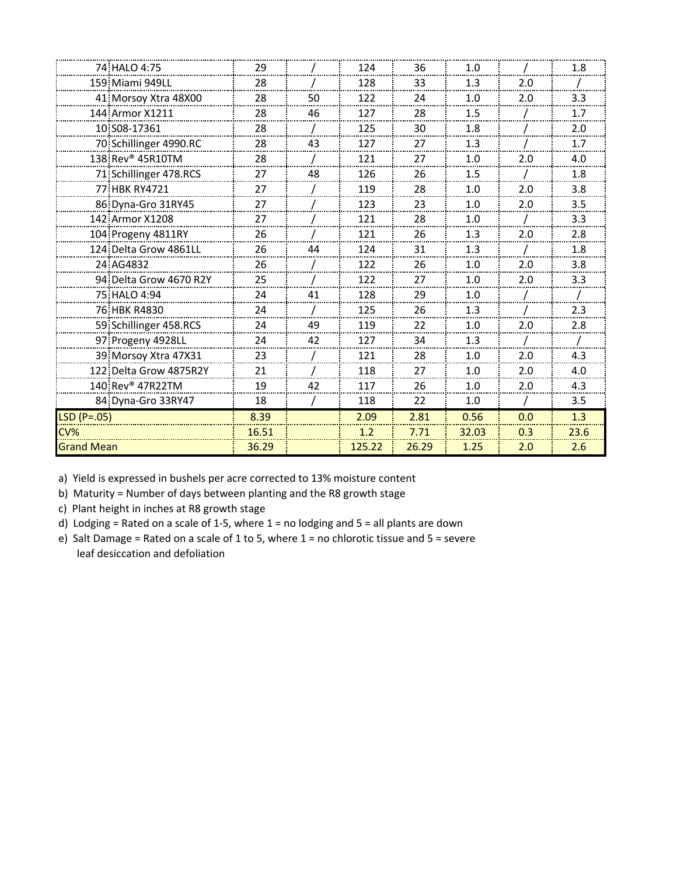|                   | 74 HALO 4:75                 | 29    |    | 124    | 36    | 1.0   |     | 1.8  |
|-------------------|------------------------------|-------|----|--------|-------|-------|-----|------|
|                   | 159 Miami 949LL              | 28    |    | 128    | 33    | 1.3   | 2.0 |      |
|                   | 41 Morsoy Xtra 48X00         | 28    | 50 | 122    | 24    | 1.0   | 2.0 | 3.3  |
|                   | 144 Armor X1211              | 28    | 46 | 127    | 28    | 1.5   |     | 1.7  |
|                   | 10 S08-17361                 | 28    |    | 125    | 30    | 1.8   |     | 2.0  |
|                   | 70 Schillinger 4990.RC       | 28    | 43 | 127    | 27    | 1.3   |     | 1.7  |
|                   | 138 Rev <sup>®</sup> 45R10TM | 28    |    | 121    | 27    | 1.0   | 2.0 | 4.0  |
|                   | 71 Schillinger 478.RCS       | 27    | 48 | 126    | 26    | 1.5   |     | 1.8  |
|                   | 77 HBK RY4721                | 27    |    | 119    | 28    | 1.0   | 2.0 | 3.8  |
|                   | 86 Dyna-Gro 31RY45           | 27    |    | 123    | 23    | 1.0   | 2.0 | 3.5  |
|                   | 142 Armor X1208              | 27    |    | 121    | 28    | 1.0   |     | 3.3  |
|                   | 104 Progeny 4811RY           | 26    |    | 121    | 26    | 1.3   | 2.0 | 2.8  |
|                   | 124 Delta Grow 4861LL        | 26    | 44 | 124    | 31    | 1.3   |     | 1.8  |
|                   | 24 AG4832                    | 26    |    | 122    | 26    | 1.0   | 2.0 | 3.8  |
|                   | 94 Delta Grow 4670 R2Y       | 25    |    | 122    | 27    | 1.0   | 2.0 | 3.3  |
|                   | 75 HALO 4:94                 | 24    | 41 | 128    | 29    | 1.0   |     |      |
|                   | 76 HBK R4830                 | 24    |    | 125    | 26    | 1.3   |     | 2.3  |
|                   | 59 Schillinger 458.RCS       | 24    | 49 | 119    | 22    | 1.0   | 2.0 | 2.8  |
|                   | 97 Progeny 4928LL            | 24    | 42 | 127    | 34    | 1.3   |     |      |
|                   | 39 Morsoy Xtra 47X31         | 23    |    | 121    | 28    | 1.0   | 2.0 | 4.3  |
|                   | 122 Delta Grow 4875R2Y       | 21    |    | 118    | 27    | 1.0   | 2.0 | 4.0  |
|                   | 140 Rev® 47R22TM             | 19    | 42 | 117    | 26    | 1.0   | 2.0 | 4.3  |
|                   | 84 Dyna-Gro 33RY47           | 18    |    | 118    | 22    | 1.0   |     | 3.5  |
| $LSD (P=.05)$     |                              | 8.39  |    | 2.09   | 2.81  | 0.56  | 0.0 | 1.3  |
| $CV\%$            |                              | 16.51 |    | 1.2    | 7.71  | 32.03 | 0.3 | 23.6 |
| <b>Grand Mean</b> |                              | 36.29 |    | 125.22 | 26.29 | 1.25  | 2.0 | 2.6  |

b) Maturity = Number of days between planting and the R8 growth stage

c) Plant height in inches at R8 growth stage

d) Lodging = Rated on a scale of 1-5, where = no lodging and  $5$  = all plants are down

 leaf desiccation and defoliation e) Salt Damage = Rated on a scale of 1 to 5, where 1 = no chlorotic tissue and 5 = severe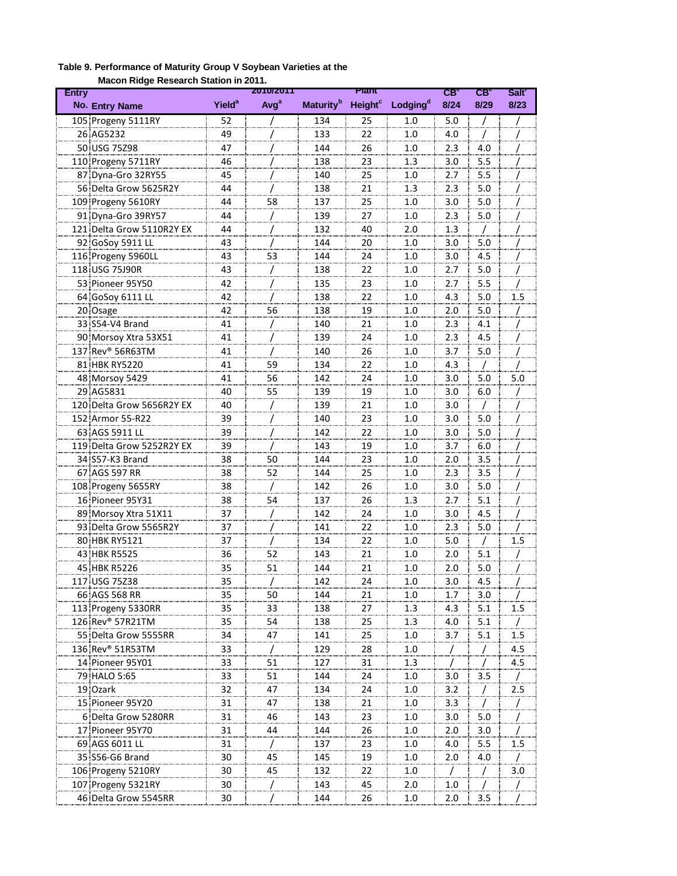| Maculi Kidye Kesearch Station in Zui I.<br><b>Entry</b> |                          | <b>2010/2011</b> |                              | Plant                     |                      | CB <sub>a</sub> | $CB^{\circ}$ | Salt <sup>'</sup> |
|---------------------------------------------------------|--------------------------|------------------|------------------------------|---------------------------|----------------------|-----------------|--------------|-------------------|
| No. Entry Name                                          | <b>Yield<sup>a</sup></b> | Avg <sup>a</sup> | <b>Maturity</b> <sup>b</sup> | <b>Height<sup>c</sup></b> | Lodging <sup>d</sup> | 8/24            | 8/29         | 8/23              |
| 105 Progeny 5111RY                                      | 52                       |                  | 134                          | 25                        | 1.0                  | 5.0             |              |                   |
| 26 AG5232                                               | 49                       |                  | 133                          | 22                        | 1.0                  | 4.0             |              |                   |
| 50 USG 75798                                            | 47                       |                  | 144                          | 26                        | 1.0                  | 2.3             | 4.0          |                   |
| 110 Progeny 5711RY                                      | 46                       |                  | 138                          | 23                        | 1.3                  | 3.0             | 5.5          |                   |
| 87 Dyna-Gro 32RY55                                      | 45                       |                  | 140                          | 25                        | 1.0                  | 2.7             | 5.5          |                   |
| 56 Delta Grow 5625R2Y                                   | 44                       |                  | 138                          | 21                        | 1.3                  | 2.3             | 5.0          |                   |
| 109 Progeny 5610RY                                      | 44                       | 58               | 137                          | 25                        | 1.0                  | 3.0             | 5.0          |                   |
| 91 Dyna-Gro 39RY57                                      | 44                       |                  | 139                          | 27                        | 1.0                  | 2.3             | 5.0          |                   |
| 121 Delta Grow 5110R2Y EX                               | 44                       |                  | 132                          | 40                        | 2.0                  | 1.3             | T            |                   |
| 92 GoSoy 5911 LL                                        | 43                       |                  | 144                          | 20                        | 1.0                  | 3.0             | 5.0          |                   |
| 116 Progeny 5960LL                                      | 43                       | 53               | 144                          | 24                        | 1.0                  | 3.0             | 4.5          |                   |
| 118 USG 75J90R                                          | 43                       | /                | 138                          | 22                        | 1.0                  | 2.7             | 5.0          |                   |
| 53 Pioneer 95Y50                                        | 42                       |                  | 135                          | 23                        | 1.0                  | 2.7             | 5.5          |                   |
| 64 GoSoy 6111 LL                                        | 42                       |                  | 138                          | 22                        | 1.0                  | 4.3             | 5.0          | 1.5               |
| 20 Osage                                                | 42                       | 56               | 138                          | 19                        | 1.0                  | 2.0             | 5.0          |                   |
| 33 S54-V4 Brand                                         | 41                       | 7                | 140                          | 21                        | 1.0                  | 2.3             | 4.1          |                   |
| 90 Morsoy Xtra 53X51                                    | 41                       |                  | 139                          | 24                        | 1.0                  | 2.3             | 4.5          |                   |
| 137 Rev® 56R63TM                                        | 41                       |                  | 140                          | 26                        | 1.0                  | 3.7             | 5.0          |                   |
| 81 HBK RY5220                                           | 41                       | 59               | 134                          | 22                        | 1.0                  | 4.3             |              |                   |
| 48 Morsoy 5429                                          | 41                       | 56               | 142                          | 24                        | 1.0                  | 3.0             | 5.0          | 5.0               |
| 29 AG5831                                               | 40                       | 55               | 139                          | 19                        | 1.0                  | 3.0             | 6.0          |                   |
| 120 Delta Grow 5656R2Y EX                               | 40                       |                  | 139                          | 21                        | 1.0                  | 3.0             |              |                   |
| 152 Armor 55-R22                                        | 39                       |                  | 140                          | 23                        | 1.0                  | 3.0             | 5.0          |                   |
| 63 AGS 5911 LL                                          | 39                       |                  | 142                          | 22                        | 1.0                  | 3.0             | 5.0          |                   |
| 119 Delta Grow 5252R2Y EX                               | 39                       |                  | 143                          | 19                        | 1.0                  | 3.7             | 6.0          |                   |
| 34 S57-K3 Brand                                         |                          |                  | 144                          |                           | 1.0                  |                 |              |                   |
| 67 AGS 597 RR                                           | 38                       | 50               | 144                          | 23<br>25                  | 1.0                  | 2.0<br>2.3      | 3.5          |                   |
|                                                         | 38                       | 52               |                              |                           |                      |                 | 3.5          |                   |
| 108 Progeny 5655RY                                      | 38                       |                  | 142                          | 26                        | 1.0                  | 3.0             | 5.0          |                   |
| 16 Pioneer 95Y31                                        | 38                       | 54               | 137                          | 26                        | 1.3                  | 2.7             | 5.1          |                   |
| 89 Morsoy Xtra 51X11                                    | 37                       |                  | 142                          | 24                        | 1.0                  | 3.0             | 4.5          |                   |
| 93 Delta Grow 5565R2Y                                   | 37                       |                  | 141                          | 22                        | 1.0                  | 2.3             | 5.0          |                   |
| 80 HBK RY5121                                           | 37                       |                  | 134                          | 22                        | 1.0                  | 5.0             | $\prime$     | 1.5               |
| 43 HBK R5525                                            | 36                       | 52               | 143                          | 21                        | 1.0                  | 2.0             | 5.1          |                   |
| 45 HBK R5226                                            | 35                       | 51               | 144                          | 21                        | 1.0                  | 2.0             | 5.0          |                   |
| 117 USG 75Z38                                           | 35                       |                  | 142                          | 24                        | 1.0                  | 3.0             | 4.5          |                   |
| 66 AGS 568 RR                                           | 35                       | 50               | 144                          | 21                        | 1.0                  | 1.7             | 3.0          |                   |
| 113 Progeny 5330RR                                      | 35                       | 33               | 138                          | 27                        | 1.3                  | 4.3             | 5.1          | 1.5               |
| 126 Rev® 57R21TM                                        | 35                       | 54               | 138                          | 25                        | 1.3                  | 4.0             | 5.1          |                   |
| 55 Delta Grow 5555RR                                    | 34                       | 47               | 141                          | 25                        | 1.0                  | 3.7             | 5.1          | 1.5               |
| 136 Rev® 51R53TM                                        | 33                       | $\prime$         | 129                          | 28                        | 1.0                  | /               | 7            | 4.5               |
| 14 Pioneer 95Y01                                        | 33                       | 51               | 127                          | 31                        | 1.3                  | $\prime$        |              | 4.5               |
| 79 HALO 5:65                                            | 33                       | 51               | 144                          | 24                        | 1.0                  | 3.0             | 3.5          |                   |
| 19 Ozark                                                | 32                       | 47               | 134                          | 24                        | 1.0                  | 3.2             |              | 2.5               |
| 15 Pioneer 95Y20                                        | 31                       | 47               | 138                          | 21                        | 1.0                  | 3.3             |              |                   |
| 6 Delta Grow 5280RR                                     | 31                       | 46               | 143                          | 23                        | 1.0                  | 3.0             | 5.0          |                   |
| 17 Pioneer 95Y70                                        | 31                       | 44               | 144                          | 26                        | 1.0                  | 2.0             | 3.0          |                   |
| 69 AGS 6011 LL                                          | 31                       |                  | 137                          | 23                        | 1.0                  | 4.0             | 5.5          | 1.5               |
| 35 S56-G6 Brand                                         | 30                       | 45               | 145                          | 19                        | 1.0                  | 2.0             | 4.0          |                   |
| 106 Progeny 5210RY                                      | 30                       | 45               | 132                          | 22                        | 1.0                  |                 |              | 3.0               |
| 107 Progeny 5321RY                                      | 30                       |                  | 143                          | 45                        | 2.0                  | 1.0             |              |                   |
| 46 Delta Grow 5545RR                                    | 30                       |                  | 144                          | 26                        | 1.0                  | 2.0             | 3.5          |                   |

#### **Table 9. Performance of Maturity Group V Soybean Varieties at the Macon Ridge Research Station in 2011.**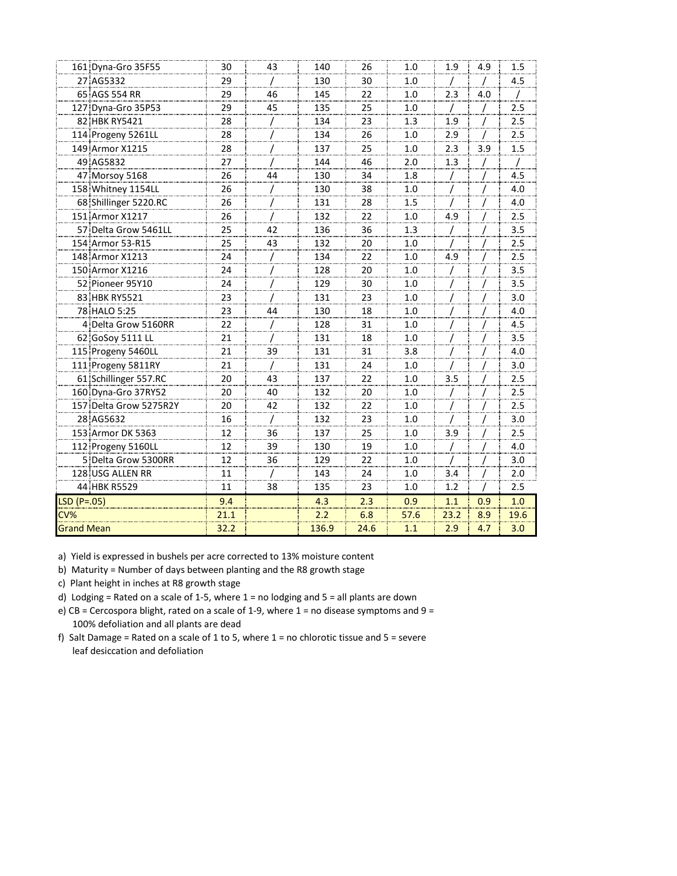| 161 Dyna-Gro 35F55     | 30   | 43       | 140   | 26   | 1.0  | 1.9  | 4.9 | 1.5  |
|------------------------|------|----------|-------|------|------|------|-----|------|
| 27 AG5332              | 29   |          | 130   | 30   | 1.0  |      |     | 4.5  |
| 65 AGS 554 RR          | 29   | 46       | 145   | 22   | 1.0  | 2.3  | 4.0 |      |
| 127 Dyna-Gro 35P53     | 29   | 45       | 135   | 25   | 1.0  |      |     | 2.5  |
| 82 HBK RY5421          | 28   |          | 134   | 23   | 1.3  | 1.9  |     | 2.5  |
| 114 Progeny 5261LL     | 28   |          | 134   | 26   | 1.0  | 2.9  |     | 2.5  |
| 149 Armor X1215        | 28   |          | 137   | 25   | 1.0  | 2.3  | 3.9 | 1.5  |
| 49 AG5832              | 27   |          | 144   | 46   | 2.0  | 1.3  |     |      |
| 47 Morsov 5168         | 26   | 44       | 130   | 34   | 1.8  |      |     | 4.5  |
| 158 Whitney 1154LL     | 26   |          | 130   | 38   | 1.0  | 7    | 7   | 4.0  |
| 68 Shillinger 5220.RC  | 26   |          | 131   | 28   | 1.5  |      |     | 4.0  |
| 151 Armor X1217        | 26   |          | 132   | 22   | 1.0  | 4.9  |     | 2.5  |
| 57 Delta Grow 5461LL   | 25   | 42       | 136   | 36   | 1.3  |      |     | 3.5  |
| 154 Armor 53-R15       | 25   | 43       | 132   | 20   | 1.0  |      |     | 2.5  |
| 148 Armor X1213        | 24   |          | 134   | 22   | 1.0  | 4.9  |     | 2.5  |
| 150 Armor X1216        | 24   |          | 128   | 20   | 1.0  | 7    |     | 3.5  |
| 52 Pioneer 95Y10       | 24   |          | 129   | 30   | 1.0  |      |     | 3.5  |
| 83 HBK RY5521          | 23   |          | 131   | 23   | 1.0  |      |     | 3.0  |
| 78 HALO 5:25           | 23   | 44       | 130   | 18   | 1.0  |      |     | 4.0  |
| 4 Delta Grow 5160RR    | 22   |          | 128   | 31   | 1.0  |      |     | 4.5  |
| 62 GoSoy 5111 LL       | 21   |          | 131   | 18   | 1.0  |      |     | 3.5  |
| 115 Progeny 5460LL     | 21   | 39       | 131   | 31   | 3.8  |      |     | 4.0  |
| 111 Progeny 5811RY     | 21   |          | 131   | 24   | 1.0  |      |     | 3.0  |
| 61 Schillinger 557.RC  | 20   | 43       | 137   | 22   | 1.0  | 3.5  |     | 2.5  |
| 160 Dyna-Gro 37RY52    | 20   | 40       | 132   | 20   | 1.0  |      |     | 2.5  |
| 157 Delta Grow 5275R2Y | 20   | 42       | 132   | 22   | 1.0  |      |     | 2.5  |
| 28 AG5632              | 16   | $\prime$ | 132   | 23   | 1.0  |      |     | 3.0  |
| 153 Armor DK 5363      | 12   | 36       | 137   | 25   | 1.0  | 3.9  |     | 2.5  |
| 112 Progeny 5160LL     | 12   | 39       | 130   | 19   | 1.0  |      |     | 4.0  |
| 5 Delta Grow 5300RR    | 12   | 36       | 129   | 22   | 1.0  |      |     | 3.0  |
| 128 USG ALLEN RR       | 11   |          | 143   | 24   | 1.0  | 3.4  |     | 2.0  |
| 44 HBK R5529           | 11   | 38       | 135   | 23   | 1.0  | 1.2  |     | 2.5  |
| $LSD (P=.05)$          | 9.4  |          | 4.3   | 2.3  | 0.9  | 1.1  | 0.9 | 1.0  |
| CV%                    | 21.1 |          | 2.2   | 6.8  | 57.6 | 23.2 | 8.9 | 19.6 |
| <b>Grand Mean</b>      | 32.2 |          | 136.9 | 24.6 | 1.1  | 2.9  | 4.7 | 3.0  |
|                        |      |          |       |      |      |      |     |      |

b) Maturity = Number of days between planting and the R8 growth stage

c) Plant height in inches at R8 growth stage

d) Lodging = Rated on a scale of 1-5, where 1 = no lodging and 5 = all plants are down

 100% defoliation and all plants are dead e) CB = Cercospora blight, rated on a scale of 1-9, where = no disease symptoms and  $9$  =

 leaf desiccation and defoliation f) Salt Damage = Rated on a scale of 1 to 5, where 1 = no chlorotic tissue and 5 = severe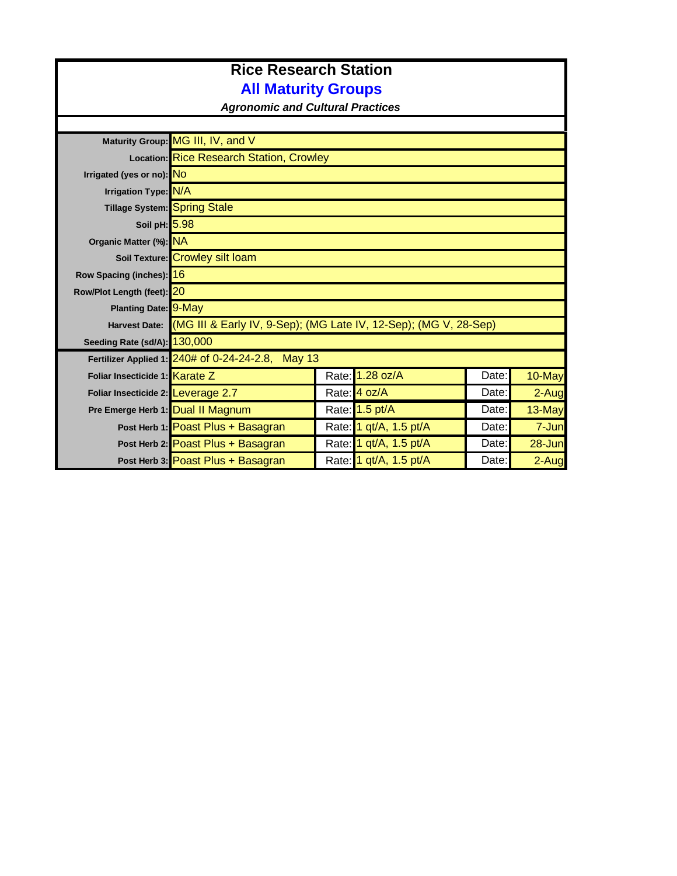# **Rice Research Station All Maturity Groups**

*Agronomic and Cultural Practices*

|                                    | Maturity Group: MG III, IV, and V                 |                                                                                |       |            |  |  |  |  |
|------------------------------------|---------------------------------------------------|--------------------------------------------------------------------------------|-------|------------|--|--|--|--|
|                                    | Location: Rice Research Station, Crowley          |                                                                                |       |            |  |  |  |  |
| Irrigated (yes or no): NO          |                                                   |                                                                                |       |            |  |  |  |  |
| Irrigation Type: N/A               |                                                   |                                                                                |       |            |  |  |  |  |
| Tillage System: Spring Stale       |                                                   |                                                                                |       |            |  |  |  |  |
| Soil pH: 5.98                      |                                                   |                                                                                |       |            |  |  |  |  |
| Organic Matter (%): NA             |                                                   |                                                                                |       |            |  |  |  |  |
|                                    | Soil Texture: Crowley silt loam                   |                                                                                |       |            |  |  |  |  |
| Row Spacing (inches): 16           |                                                   |                                                                                |       |            |  |  |  |  |
| Row/Plot Length (feet): 20         |                                                   |                                                                                |       |            |  |  |  |  |
| Planting Date: 9-May               |                                                   |                                                                                |       |            |  |  |  |  |
|                                    |                                                   | Harvest Date: (MG III & Early IV, 9-Sep); (MG Late IV, 12-Sep); (MG V, 28-Sep) |       |            |  |  |  |  |
| Seeding Rate (sd/A): 130,000       |                                                   |                                                                                |       |            |  |  |  |  |
|                                    | Fertilizer Applied 1: 240# of 0-24-24-2.8, May 13 |                                                                                |       |            |  |  |  |  |
| Foliar Insecticide 1: Karate Z     |                                                   | Rate: 1.28 oz/A                                                                | Date: | 10-May     |  |  |  |  |
| Foliar Insecticide 2: Leverage 2.7 |                                                   | Rate: 4 oz/A                                                                   | Date: | $2-Auq$    |  |  |  |  |
| Pre Emerge Herb 1: Dual II Magnum  |                                                   | Rate: 1.5 pt/A                                                                 | Date: | 13-May     |  |  |  |  |
|                                    | Post Herb 1: Poast Plus + Basagran                | Rate: 1 qt/A, 1.5 pt/A                                                         | Date: | 7-Jun      |  |  |  |  |
|                                    | Post Herb 2: Poast Plus + Basagran                | Rate: 1 qt/A, 1.5 pt/A                                                         | Date: | $28 - Jun$ |  |  |  |  |
|                                    | Post Herb 3: Poast Plus + Basagran                | Rate: 1 qt/A, 1.5 pt/A                                                         | Date: | 2-Aug      |  |  |  |  |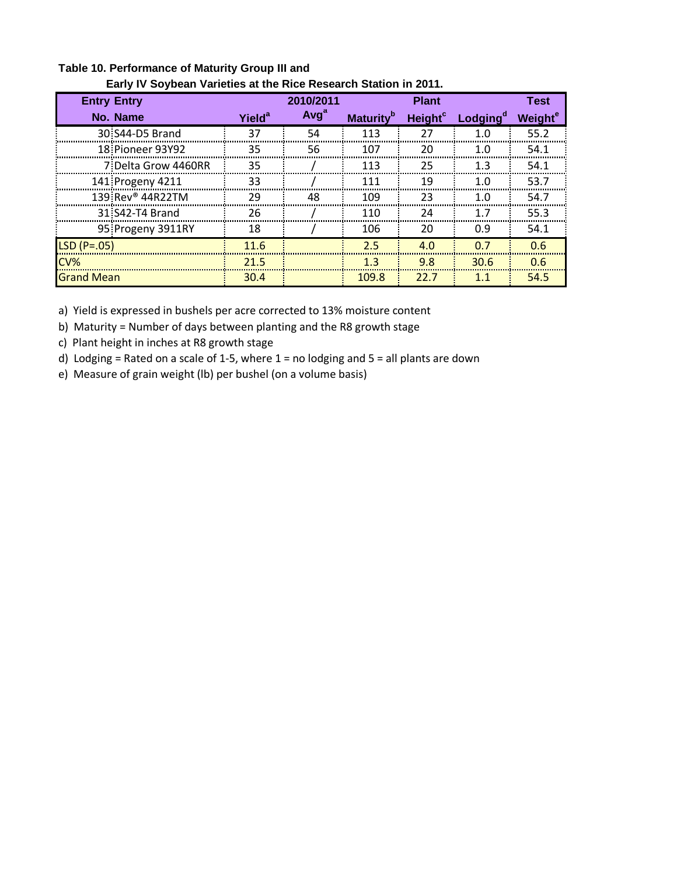|                              | Early IV Soybean varieties at the Rice Research Station in 2011. |                  |                              |                     |                      |                     |  |  |  |  |
|------------------------------|------------------------------------------------------------------|------------------|------------------------------|---------------------|----------------------|---------------------|--|--|--|--|
| <b>Entry Entry</b>           |                                                                  | 2010/2011        |                              | <b>Plant</b>        |                      | <b>Test</b>         |  |  |  |  |
| No. Name                     | Yield <sup>a</sup>                                               | Avg <sup>a</sup> | <b>Maturity</b> <sup>b</sup> | Height <sup>c</sup> | Lodging <sup>a</sup> | Weight <sup>e</sup> |  |  |  |  |
| 30 S44-D5 Brand              | 37                                                               | 54               | 113                          | 27                  | 1.0                  | 55.2                |  |  |  |  |
| 18 Pioneer 93Y92             | 35                                                               | 56               | 107                          | 20                  | 1. $\Omega$          | 54.1                |  |  |  |  |
| 7 Delta Grow 4460RR          | 35                                                               |                  | 113                          | 25                  | 1.3                  | 54.1                |  |  |  |  |
| 141 Progeny 4211             | 33                                                               |                  | 111                          | 19                  | 1.0                  | 53.7                |  |  |  |  |
| 139 Rev <sup>®</sup> 44R22TM | 29                                                               | 48               | 109                          | 23                  | 1.0                  | 54.7                |  |  |  |  |
| 31 S42-T4 Brand              | 26                                                               |                  | 110                          | 24                  | 17                   | 55.3                |  |  |  |  |
| 95: Progeny 3911RY           | 18                                                               |                  | 106                          | 20                  | 0.9                  | 54.1                |  |  |  |  |
| $LSD(P=.05)$                 | 11.6                                                             |                  | 2.5                          | 4.0                 | 0.7                  | 0.6                 |  |  |  |  |
| CV%                          | 21.5                                                             |                  | 1.3                          | 9.8                 | 30.6                 | 0.6                 |  |  |  |  |
| <b>Grand Mean</b>            | 30.4                                                             |                  | 109.8                        | 22.7                | 1.1                  | 54.5                |  |  |  |  |

#### **Table 10. Performance of Maturity Group III and Early IV Soybean Varieties at the Rice Research Station in 2011.**

a) Yield is expressed in bushels per acre corrected to 13% moisture content

b) Maturity = Number of days between planting and the R8 growth stage

c) Plant height in inches at R8 growth stage

d) Lodging = Rated on a scale of 1-5, where 1 = no lodging and 5 = all plants are down

e) Measure of grain weight (lb) per bushel (on a volume basis)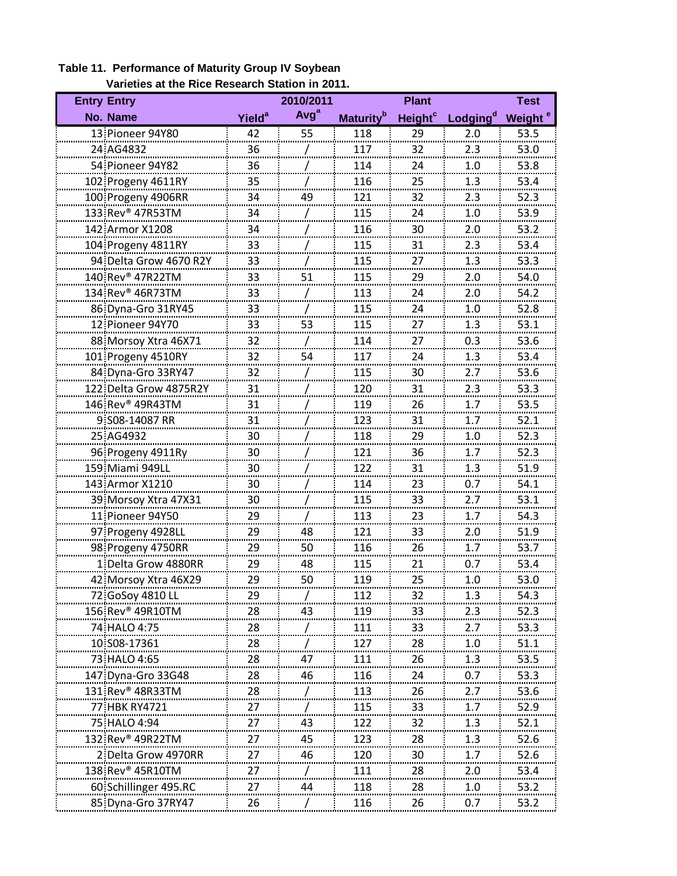| <b>Entry Entry</b>           |                          | 2010/2011        |                              | <b>Plant</b>              |                      | <b>Test</b>         |
|------------------------------|--------------------------|------------------|------------------------------|---------------------------|----------------------|---------------------|
| No. Name                     | <b>Yield<sup>a</sup></b> | Avg <sup>a</sup> | <b>Maturity</b> <sup>b</sup> | <b>Height<sup>c</sup></b> | Lodging <sup>d</sup> | Weight <sup>e</sup> |
| 13 Pioneer 94Y80             | 42                       | 55               | 118                          | 29                        | 2.0                  | 53.5                |
| 24 AG4832                    | 36                       |                  | 117                          | 32                        | 2.3                  | 53.0                |
| 54 Pioneer 94Y82             | 36                       |                  | 114                          | 24                        | 1.0                  | 53.8                |
| 102 Progeny 4611RY           | 35                       |                  | 116                          | 25                        | 1.3                  | 53.4                |
| 100 Progeny 4906RR           | 34                       | 49               | 121<br>                      | 32                        | 2.3                  | 52.3<br>            |
| 133 Rev <sup>®</sup> 47R53TM | 34                       |                  | 115                          | <br>24                    | .<br>1.0             | 53.9                |
| 142 Armor X1208              | 34                       |                  | 116                          | 30                        | 2.0                  | 53.2                |
| 104 Progeny 4811RY           | 33                       |                  | 115                          | 31                        | 2.3                  | 53.4                |
| 94 Delta Grow 4670 R2Y       | 33                       |                  | 115                          | 27                        | 1.3                  | 53.3                |
| 140 Rev® 47R22TM             | 33<br>                   | 51               | 115                          | 29                        | 2.0                  | 54.0                |
| 134 Rev <sup>®</sup> 46R73TM | 33                       |                  | 113                          | 24                        | 2.0                  | 54.2                |
| 86 Dyna-Gro 31RY45           | 33                       |                  | 115                          | 24                        | 1.0                  | 52.8                |
| 12 Pioneer 94Y70             | 33                       | 53               | 115                          | 27                        | 1.3                  | 53.1                |
| 88 Morsoy Xtra 46X71         | 32                       |                  | 114                          | 27                        | 0.3                  | 53.6                |
| 101 Progeny 4510RY           | 32<br>------             | 54               | 117                          | 24                        | 1.3                  | 53.4                |
| 84 Dyna-Gro 33RY47           | 32                       |                  | 115                          | 30                        | 2.7                  | 53.6                |
| 122 Delta Grow 4875R2Y       | 31                       |                  | 120                          | 31                        | 2.3                  | 53.3                |
| 146 Rev <sup>®</sup> 49R43TM | 31                       |                  | 119                          | 26                        | 1.7                  | 53.5                |
| 9 S08-14087 RR               | 31                       |                  | 123                          | 31                        | 1.7                  | 52.1                |
| 25 AG4932                    | 30                       |                  | 118                          | 29                        | 1.0                  | 52.3                |
| 96 Progeny 4911Ry            | 30                       |                  | 121                          | ------<br>36              | 1.7                  | 52.3                |
| 159 Miami 949LL              | 30                       |                  | 122                          | 31                        | 1.3                  | 51.9                |
| 143 Armor X1210              | 30                       |                  | 114                          | 23                        | 0.7                  | 54.1                |
| 39 Morsoy Xtra 47X31         | 30                       |                  | 115                          | 33                        | 2.7                  | 53.1                |
| 11 Pioneer 94Y50             | 29<br>.                  |                  | 113                          | 23                        | 1.7                  | 54.3                |
| 97 Progeny 4928LL            | 29                       | 48               | 121                          | 33                        | 2.0                  | 51.9                |
| 98 Progeny 4750RR            | 29                       | 50               | 116                          | 26                        | 1.7                  | 53.7                |
| 1 Delta Grow 4880RR          | 29                       | 48               | 115                          | 21                        | 0.7                  | 53.4                |
| 42 Morsov Xtra 46X29         | 29                       | 50               | 119                          | 25                        | 1.0                  | 53.0                |
| 72 GoSoy 4810 Ll             | 29                       |                  | 112                          | 32                        |                      | 54.3                |
| 156 Rev® 49R10TM             | 28                       | 43               | 119                          | 33                        | 2.3                  | 52.3                |
| 74 HALO 4:75                 | 28                       |                  | 111                          | 33                        | 2.7                  | 53.3                |
| 10.S08-17361                 | 28                       |                  | 127                          | 28                        | 1.0                  | 51.1                |
| 73 HALO 4:65                 | 28                       | 47               | 111                          | 26                        | 1.3                  | 53.5                |
| 147 Dyna-Gro 33G48           | 28                       | 46               | 116                          | 24                        | 0.7                  | 53.3                |
| 131 Rev <sup>®</sup> 48R33TM | 28                       |                  | 113                          | 26                        | 2.7                  | 53.6                |
| 77 HBK RY4721                | 27                       |                  | 115                          | 33                        | 1.7                  | 52.9                |
| 75 HALO 4:94                 | 27                       | 43               | 122                          | 32                        | 1.3                  | 52.1                |
| 132 Rev <sup>®</sup> 49R22TM | 27                       | 45               | 123                          | 28                        | 1.3                  | 52.6                |
| 2 Delta Grow 4970RR          | 27                       | 46               | 120                          | 30                        |                      | 52.6                |
| 138 Rev <sup>®</sup> 45R10TM | 27                       |                  | <u> 111</u>                  | 28                        | 2.0                  | 53.4                |
| 60 Schillinger 495.RC        | 27                       | 44               | 118                          | 28                        | 1.0                  | 53.2                |
|                              |                          |                  |                              |                           |                      |                     |

**Table 11. Performance of Maturity Group IV Soybean Varieties at the Rice Research Station in 2011.**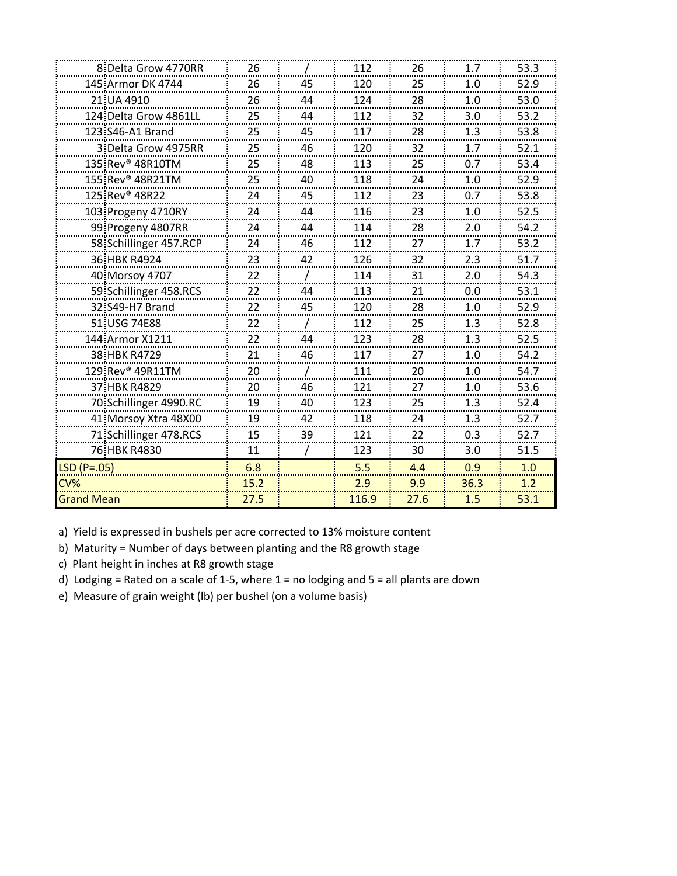|                   | 8 Delta Grow 4770RR          | 26     |         | 112      | 26     | 1.7     | 53.3     |
|-------------------|------------------------------|--------|---------|----------|--------|---------|----------|
|                   | 145 Armor DK 4744            | 26     | 45      | 120      | 25     | 1.0     | 52.9     |
|                   | 21 UA 4910                   | 26     | 44      | 124      | 28     | 1.0     | 53.0     |
|                   | 124 Delta Grow 4861LI        | 25     | 44      | 112      | 32     | 3.0     | 53.2     |
|                   | 123 S46-A1 Brand             | 25     | 45      | 117      | 28     | 1.3     | 53.8     |
|                   | 3 Delta Grow 4975RR          | 25     | 46      | 120      | 32     | 1.7     | 52.1     |
|                   | 135 Rev <sup>®</sup> 48R10TM | 25<br> | 48<br>. | 113<br>. | 25<br> | 0.7<br> | 53.4<br> |
|                   | 155 Rev® 48R21TM             | 25     | 40      | 118      | 24     | 1.0     | 52.9     |
|                   | 125 Rev <sup>®</sup> 48R22   | 24     | 45      | 112      | 23     | 0.7     | 53.8     |
|                   | 103 Progeny 4710RY           | 24     | 44      | 116      | 23     | 1.0     | 52.5     |
|                   | 99 Progeny 4807RR            | 24     | 44      | 114      | 28     | 2.0     | 54.2     |
|                   | 58: Schillinger 457.RCP      | 24     | 46      | 112      | 27     | 1.7     | 53.2     |
|                   | 36 HBK R4924                 | 23     | 42      | 126      | 32     | 2.3     | 51.7     |
|                   | 40 Morsoy 4707               | 22     |         | 114      | 31     | 2.0     | 54.3     |
|                   | 59 Schillinger 458.RCS       | 22     | 44      | 113      | 21     | 0.0     | 53.1     |
|                   | 32 S49-H7 Brand              | 22     | 45      | 120      | 28     | 1.0     | 52.9     |
|                   | 51 USG 74E88                 | 22     |         | 112      | 25     | 1.3     | 52.8     |
|                   | 144 Armor X1211              | 22     | 44      | 123      | 28     | 1.3     | 52.5     |
|                   | 38 HBK R4729                 | 21     | 46      | 117      | 27     | 1.0     | 54.2     |
|                   | 129 Rev® 49R11TM             | 20     |         | 111      | 20     | 1.0     | 54.7     |
|                   | 37 HBK R4829                 | 20     | 46      | 121      | 27     | 1.0     | 53.6     |
|                   | 70 Schillinger 4990.RC       | 19     | 40      | 123      | 25     | 1.3     | 52.4     |
|                   | 41 Morsoy Xtra 48X00         | 19     | 42      | 118      | 24     | 1.3     | 52.7     |
|                   | 71 Schillinger 478.RCS       | 15     | 39      | 121      | 22     | 0.3     | 52.7     |
|                   | 76 HBK R4830                 | 11     |         | 123      | 30     | 3.0     | 51.5     |
| $LSD(P=.05)$      |                              | 6.8    |         | 5.5      | 4.4    | 0.9     | 1.0      |
| CV%               |                              | 15.2   |         | 2.9      | 9.9    | 36.3    | 1.2      |
| <b>Grand Mean</b> |                              | 27.5   |         | 116.9    | 27.6   | 1.5     | 53.1     |
|                   |                              |        |         |          |        |         |          |

b) Maturity = Number of days between planting and the R8 growth stage

c) Plant height in inches at R8 growth stage

d) Lodging = Rated on a scale of 1-5, where 1 = no lodging and 5 = all plants are down

e) Measure of grain weight (lb) per bushel (on a volume basis)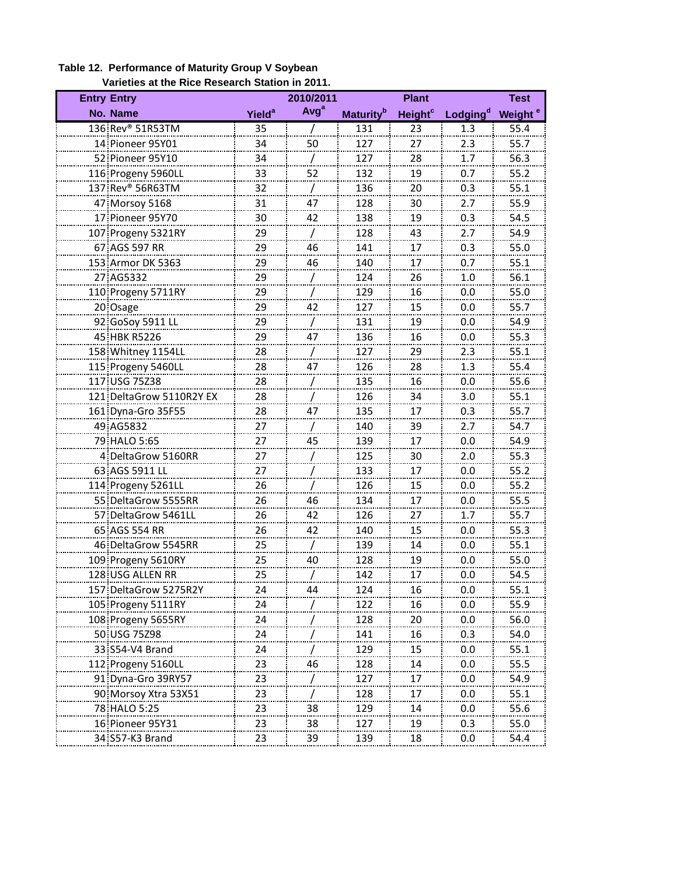| 2010/2011<br><b>Entry Entry</b><br><b>Plant</b><br><b>Test</b> |                    |                  |                              |                     |                      |                     |
|----------------------------------------------------------------|--------------------|------------------|------------------------------|---------------------|----------------------|---------------------|
| No. Name                                                       | Yield <sup>a</sup> | Avg <sup>a</sup> | <b>Maturity</b> <sup>b</sup> | Height <sup>c</sup> | Lodging <sup>d</sup> | Weight <sup>e</sup> |
| 136 Rev® 51R53TM                                               | 35                 |                  | 131                          | 23                  | 1.3                  | 55.4                |
| 14 Pioneer 95Y01                                               | 34                 | 50               | 127                          | 27                  | 2.3                  | 55.7                |
| 52 Pioneer 95Y10                                               | 34                 |                  | 127                          | 28                  | 1.7                  | 56.3                |
| 116 Progeny 5960LL                                             | 33                 | 52               | 132                          | 19                  | 0.7                  | 55.2                |
| 137 Rev® 56R63TM                                               | 32                 |                  | 136                          | 20                  | 0.3                  | 55.1                |
| 47 Morsoy 5168                                                 | 31                 | 47               | 128                          | 30                  | 2.7                  | 55.9                |
| 17 Pioneer 95Y70                                               | 30                 | 42               | 138                          | 19                  | 0.3                  | 54.5                |
| 107 Progeny 5321RY                                             | 29                 |                  | 128                          | 43                  | 2.7                  | 54.9                |
| 67 AGS 597 RR                                                  | 29                 | 46               | 141                          | 17                  | 0.3                  | 55.0                |
| 153 Armor DK 5363                                              | 29                 | 46               | 140                          | 17                  | 0.7                  | 55.1                |
| 27 AG5332                                                      | 29                 |                  | 124                          | 26                  | 1.0                  | 56.1                |
| 110 Progeny 5711RY                                             | 29                 |                  | 129                          | 16                  | 0.0                  | 55.0                |
| 20 Osage                                                       | 29                 | 42               | 127                          | 15                  | 0.0                  | 55.7                |
| 92 GoSoy 5911 LL                                               | 29                 |                  | 131                          | 19                  | 0.0                  | 54.9                |
| 45 HBK R5226                                                   | 29                 | 47               | 136                          | 16                  | 0.0                  | 55.3                |
| 158 Whitney 1154LL                                             | 28                 |                  | 127                          | 29                  | 2.3                  | 55.1                |
| 115 Progeny 5460LL                                             | 28                 | 47               | 126                          | 28                  | 1.3                  | 55.4                |
| 117 USG 75Z38                                                  | 28                 |                  | 135                          | 16                  | 0.0                  | 55.6                |
| 121 DeltaGrow 5110R2Y EX                                       | 28                 |                  | 126                          | 34                  | 3.0                  | 55.1                |
| 161 Dyna-Gro 35F55                                             | 28                 | 47               | 135                          | 17                  | 0.3                  | 55.7                |
| 49 AG5832                                                      | 27                 |                  | 140                          | 39                  | 2.7                  | 54.7                |
| 79 HALO 5:65                                                   | <br>27             | 45               | 139                          | 17                  | 0.0                  | 54.9                |
| 4 DeltaGrow 5160RR                                             | .<br>27            |                  | 125                          | 30                  | 2.0                  | 55.3                |
| 63 AGS 5911 LL                                                 | $\cdots$<br>27     |                  | 133                          | 17                  | 0.0                  | 55.2                |
| 114 Progeny 5261LL                                             | 26                 |                  | 126                          | 15                  | 0.0                  | 55.2                |
|                                                                |                    | 46               |                              |                     |                      |                     |
| 55 DeltaGrow 5555RR                                            | 26                 |                  | 134                          | 17                  | 0.0                  | 55.5                |
| 57 DeltaGrow 5461LL                                            | 26                 | 42               | 126                          | 27                  | 1.7                  | 55.7                |
| 65 AGS 554 RR<br>46 DeltaGrow 5545RR                           | 26                 | 42               | 140<br>139                   | 15<br>14            | 0.0<br>0.0           | 55.3<br>55.1        |
|                                                                | 25                 | 40               | 128                          |                     |                      | 55.0                |
| 109 Progeny 5610RY                                             | 25                 |                  |                              | 19                  | 0.0                  | 54.5                |
| 128 USG ALLEN RR                                               | 25                 |                  | 142                          | 17                  | 0.0                  |                     |
| 157 DeltaGrow 5275R2Y                                          | 24                 | 44               | 124                          | 16                  | 0.0                  | 55.1                |
| 105 Progeny 5111RY                                             | 24                 |                  | 122                          | 16                  | 0.0                  | 55.9                |
| 108 Progeny 5655RY                                             | 24                 |                  | 128                          | 20                  | 0.0                  | 56.0                |
| 50 USG 75Z98                                                   | 24                 |                  | 141                          | 16                  | 0.3                  | 54.0                |
| 33 S54-V4 Brand                                                | 24                 |                  | 129                          | 15                  | 0.0                  | 55.1                |
| 112 Progeny 5160LL                                             | 23                 | 46               | 128                          | 14                  | 0.0                  | 55.5                |
| 91 Dyna-Gro 39RY57                                             | 23                 |                  | 127                          | 17                  | 0.0                  | 54.9                |
| 90 Morsoy Xtra 53X51                                           | 23                 |                  | 128                          | 17                  | 0.0                  | 55.1                |
| <u>78 HALO 5:25</u>                                            | 23                 | $\frac{38}{1}$   | 129                          | 14                  | 0.0                  | 55.6                |
| 16 Pioneer 95Y31                                               | 23                 | 38               | 127                          | 19                  | 0.3                  | 55.0                |
| 34 S57-K3 Brand                                                | 23                 | 39               | 139                          | 18                  | 0.0                  | 54.4                |

#### **Table 12. Performance of Maturity Group V Soybean Varieties at the Rice Research Station in 2011.**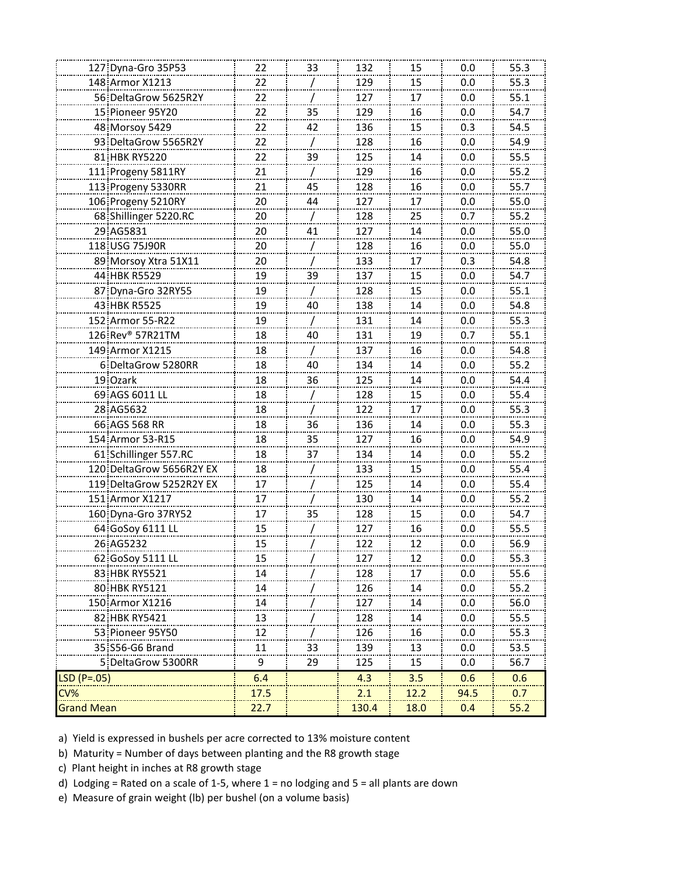| 127 Dyna-Gro 35P53       | 22           | 33 | 132   | 15   | 0.0  | 55.3 |
|--------------------------|--------------|----|-------|------|------|------|
| 148 Armor X1213          | 22           |    | 129   | 15   | 0.0  | 55.3 |
| 56 DeltaGrow 5625R2Y     | 22<br>.      |    | 127   | 17   | 0.0  | 55.1 |
| 15 Pioneer 95Y20         | 22<br>------ | 35 | 129   | 16   | 0.0  | 54.7 |
| 48 Morsoy 5429           | 22           | 42 | 136   | 15   | 0.3  | 54.5 |
| 93 DeltaGrow 5565R2Y     | 22           |    | 128   | 16   | 0.0  | 54.9 |
| 81 HBK RY5220            | 22           | 39 | 125   | 14   | 0.0  | 55.5 |
| 111 Progeny 5811RY       | 21           |    | 129   | 16   | 0.0  | 55.2 |
| 113 Progeny 5330RR       | 21           | 45 | 128   | 16   | 0.0  | 55.7 |
| 106 Progeny 5210RY       | 20           | 44 | 127   | 17   | 0.0  | 55.0 |
| 68 Shillinger 5220.RC    | 20           |    | 128   | 25   | 0.7  | 55.2 |
| 29 AG5831                | 20           | 41 | 127   | 14   | 0.0  | 55.0 |
| 118 USG 75J90R           | 20           |    | 128   | 16   | 0.0  | 55.0 |
| 89 Morsoy Xtra 51X11     | 20           |    | 133   | 17   | 0.3  | 54.8 |
| 44 HBK R5529             | 19           | 39 | 137   | 15   | 0.0  | 54.7 |
| 87 Dyna-Gro 32RY55       | 19           |    | 128   | 15   | 0.0  | 55.1 |
| 43 HBK R5525             | 19           | 40 | 138   | 14   | 0.0  | 54.8 |
| 152 Armor 55-R22         | 19           |    | 131   | 14   | 0.0  | 55.3 |
| 126 Rev® 57R21TM         | 18           | 40 | 131   | 19   | 0.7  | 55.1 |
| 149 Armor X1215          | 18           |    | 137   | 16   | 0.0  | 54.8 |
| 6 DeltaGrow 5280RR       | 18           | 40 | 134   | 14   | 0.0  | 55.2 |
| 19 Ozark                 | 18           | 36 | 125   | 14   | 0.0  | 54.4 |
| 69 AGS 6011 LL           | 18           |    | 128   | 15   | 0.0  | 55.4 |
| 28 AG5632                | 18           |    | 122   | 17   | 0.0  | 55.3 |
| 66 AGS 568 RR            | 18           | 36 | 136   | 14   | 0.0  | 55.3 |
| 154 Armor 53-R15         | 18           | 35 | 127   | 16   | 0.0  | 54.9 |
| 61 Schillinger 557.RC    | 18           | 37 | 134   | 14   | 0.0  | 55.2 |
| 120 DeltaGrow 5656R2Y EX | 18           |    | 133   | 15   | 0.0  | 55.4 |
| 119 DeltaGrow 5252R2Y EX | 17           |    | 125   | 14   | 0.0  | 55.4 |
| 151 Armor X1217          | 17           |    | 130   | 14   | 0.0  | 55.2 |
| 160 Dyna-Gro 37RY52      | 17           | 35 | 128   | 15   | 0.0  | 54.7 |
| 64 GoSoy 6111 LL         | 15           |    | 127   | 16   | 0.0  | 55.5 |
| 26 AG5232                | 15           |    | 122   | 12   | 0.0  | 56.9 |
| 62 GoSoy 5111 LL         | 15           |    | 127   | 12   | 0.0  | 55.3 |
| 83 HBK RY5521            | 14           |    | 128   | 17   | 0.0  | 55.6 |
| 80 HBK RY5121            | 14           |    | 126   | 14   | 0.0  | 55.2 |
| 150 Armor X1216          | 14           |    | 127   | 14   | 0.0  | 56.0 |
| 82 HBK RY5421            | 13           |    | 128   | 14   | 0.0  | 55.5 |
| 53 Pioneer 95Y50         | 12           |    | 126   | 16   | 0.0  | 55.3 |
| 35 S56-G6 Brand          | 11           | 33 | 139   | 13   | 0.0  | 53.5 |
| 5 DeltaGrow 5300RR       | 9            | 29 | 125   | 15   | 0.0  | 56.7 |
| LSD (P=.05)              | 6.4          |    | 4.3   | 3.5  | 0.6  | 0.6  |
| CV%                      | 17.5         |    | 2.1   | 12.2 | 94.5 | 0.7  |
| <b>Grand Mean</b>        | 22.7         |    | 130.4 | 18.0 | 0.4  | 55.2 |
|                          |              |    |       |      |      |      |

- b) Maturity = Number of days between planting and the R8 growth stage
- c) Plant height in inches at R8 growth stage
- d) Lodging = Rated on a scale of 1-5, where 1 = no lodging and 5 = all plants are down
- e) Measure of grain weight (lb) per bushel (on a volume basis)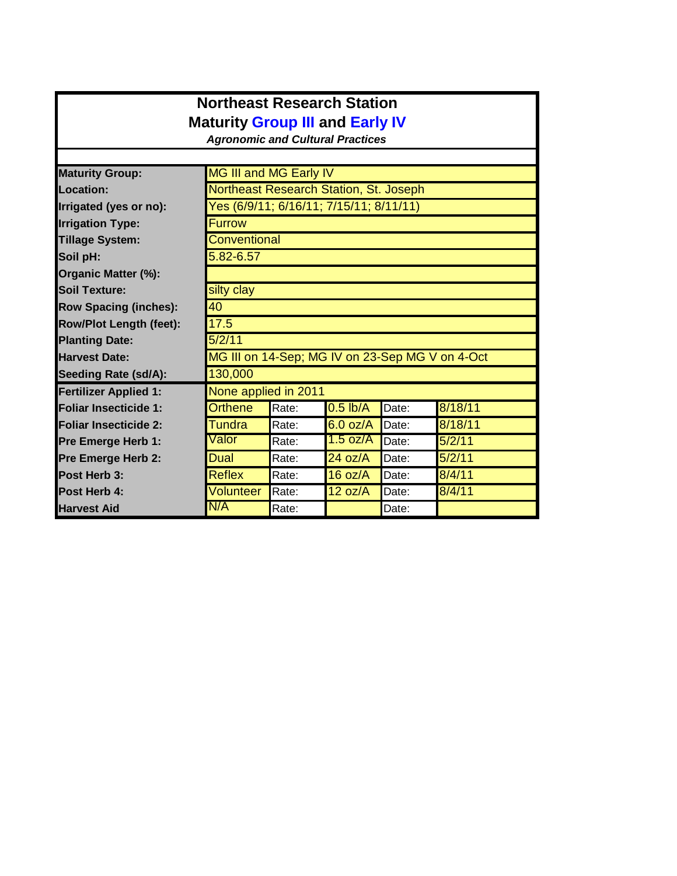## **Northeast Research Station Maturity Group III and Early IV**

*Agronomic and Cultural Practices*

| <b>Maturity Group:</b>         | MG III and MG Early IV                  |                                                 |                       |       |         |  |  |  |
|--------------------------------|-----------------------------------------|-------------------------------------------------|-----------------------|-------|---------|--|--|--|
| Location:                      | Northeast Research Station, St. Joseph  |                                                 |                       |       |         |  |  |  |
| Irrigated (yes or no):         | Yes (6/9/11; 6/16/11; 7/15/11; 8/11/11) |                                                 |                       |       |         |  |  |  |
| <b>Irrigation Type:</b>        | <b>Furrow</b>                           |                                                 |                       |       |         |  |  |  |
| <b>Tillage System:</b>         | Conventional                            |                                                 |                       |       |         |  |  |  |
| Soil pH:                       | 5.82-6.57                               |                                                 |                       |       |         |  |  |  |
| Organic Matter (%):            |                                         |                                                 |                       |       |         |  |  |  |
| <b>Soil Texture:</b>           | silty clay                              |                                                 |                       |       |         |  |  |  |
| <b>Row Spacing (inches):</b>   | 40                                      |                                                 |                       |       |         |  |  |  |
| <b>Row/Plot Length (feet):</b> | 17.5                                    |                                                 |                       |       |         |  |  |  |
| <b>Planting Date:</b>          | 5/2/11                                  |                                                 |                       |       |         |  |  |  |
| <b>Harvest Date:</b>           |                                         | MG III on 14-Sep; MG IV on 23-Sep MG V on 4-Oct |                       |       |         |  |  |  |
| <b>Seeding Rate (sd/A):</b>    | 130,000                                 |                                                 |                       |       |         |  |  |  |
| <b>Fertilizer Applied 1:</b>   | None applied in 2011                    |                                                 |                       |       |         |  |  |  |
| <b>Foliar Insecticide 1:</b>   | <b>Orthene</b>                          | Rate:                                           | $\overline{0.5}$ lb/A | Date: | 8/18/11 |  |  |  |
| <b>Foliar Insecticide 2:</b>   | Tundra                                  | Rate:                                           | $6.0$ oz/A            | Date: | 8/18/11 |  |  |  |
| Pre Emerge Herb 1:             | Valor                                   | Rate:                                           | 1.5 oz/A              | Date: | 5/2/11  |  |  |  |
| Pre Emerge Herb 2:             | Dual                                    | Rate:                                           | 24 oz/A               | Date: | 5/2/11  |  |  |  |
| Post Herb 3:                   | <b>Reflex</b>                           | Rate:                                           | 16 oz/A               | Date: | 8/4/11  |  |  |  |
| Post Herb 4:                   | Volunteer                               | Rate:                                           | 12 oz/A               | Date: | 8/4/11  |  |  |  |
| <b>Harvest Aid</b>             | N/A                                     | Rate:                                           |                       | Date: |         |  |  |  |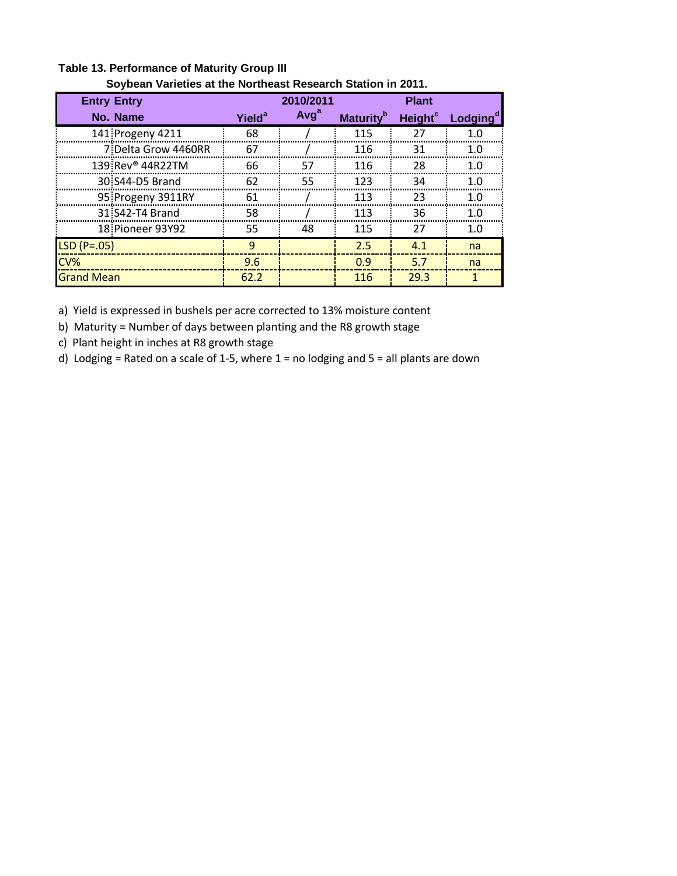| <u>Suvuedii valielles al liie nurilleast Nesearuli Statiuli III Zul I.</u> |                          |                  |                              |                     |                      |  |  |
|----------------------------------------------------------------------------|--------------------------|------------------|------------------------------|---------------------|----------------------|--|--|
| <b>Entry Entry</b>                                                         |                          | 2010/2011        |                              | <b>Plant</b>        |                      |  |  |
| No. Name                                                                   | <b>Yield<sup>a</sup></b> | Avg <sup>a</sup> | <b>Maturity</b> <sup>b</sup> | Height <sup>c</sup> | Lodging <sup>c</sup> |  |  |
| 141 Progeny 4211                                                           | 68                       |                  | 115                          | 27                  |                      |  |  |
| 7 Delta Grow 4460RR                                                        | 67                       |                  | 116                          | 31                  | 1.0                  |  |  |
| 139 Rev <sup>®</sup> 44R22TM                                               | 66                       | 57               | 116                          | 28                  | 1 ∩                  |  |  |
| 30 S44-D5 Brand                                                            | 62                       | 55               | 123                          | 34                  | 1.0                  |  |  |
| 95 Progeny 3911RY                                                          | 61                       |                  | 113                          | 23                  | 1 ∩                  |  |  |
| 31 S42-T4 Brand                                                            | 58                       |                  | 113                          | 36                  | 1.0                  |  |  |
| 18: Pioneer 93Y92                                                          | 55                       | 48               | 115                          | 27                  | 1.0                  |  |  |
| $LSD(P=.05)$                                                               | 9                        |                  | 2.5                          | 4.1                 | na                   |  |  |
| CV%                                                                        | 9.6                      |                  | 0.9                          | 5.7                 | na                   |  |  |
| <b>Grand Mean</b>                                                          | 62.2                     |                  | 116                          | 29.3                | 1                    |  |  |

**Table 13. Performance of Maturity Group III Soybean Varieties at the Northeast Research Station in 2011.**

b) Maturity = Number of days between planting and the R8 growth stage

c) Plant height in inches at R8 growth stage

d) Lodging = Rated on a scale of 1-5, where 1 = no lodging and 5 = all plants are down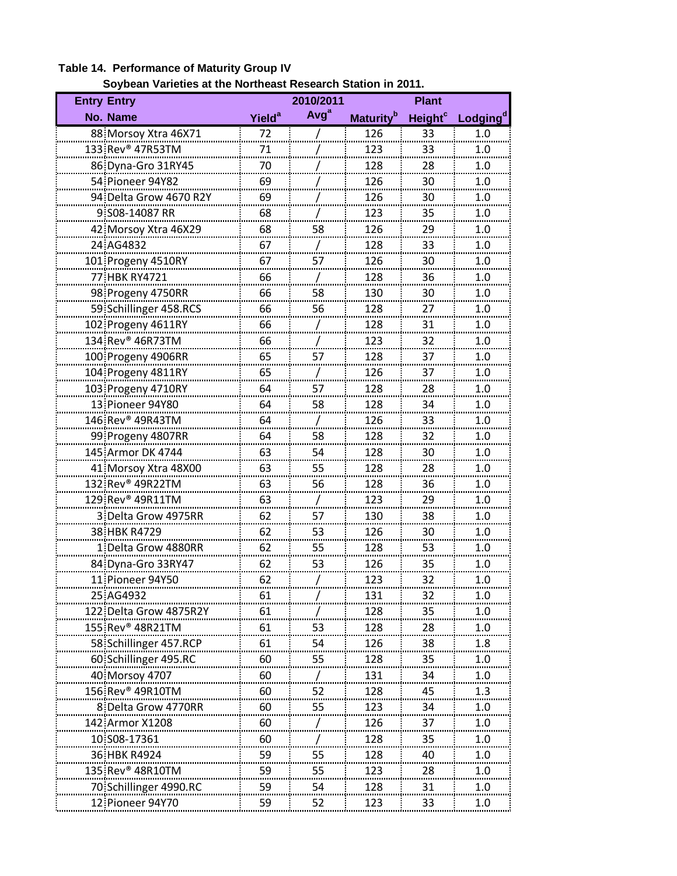# **Table 14. Performance of Maturity Group IV**

| Soybean Varieties at the Northeast Research Station in 2011. |
|--------------------------------------------------------------|
|--------------------------------------------------------------|

| <b>Entry Entry</b>           |                          | 2010/2011        |                              | <b>Plant</b>        |                      |
|------------------------------|--------------------------|------------------|------------------------------|---------------------|----------------------|
| No. Name                     | <b>Yield<sup>a</sup></b> | Avg <sup>a</sup> | <b>Maturity</b> <sup>b</sup> | Height <sup>c</sup> | Lodging <sup>d</sup> |
| 88 Morsoy Xtra 46X71         | 72                       |                  | 126                          | 33                  | 1.0                  |
| 133 Rev <sup>®</sup> 47R53TM | 71                       |                  | 123                          | 33                  | 1.0                  |
| 86 Dyna-Gro 31RY45           | 70                       |                  | 128                          | 28                  | 1.0                  |
| 54 Pioneer 94Y82             | 69                       |                  | 126                          | 30                  | 1.0                  |
| 94 Delta Grow 4670 R2Y       | 69                       |                  | 126                          | 30                  | 1.0                  |
| 9:S08-14087 RR               | 68                       |                  | 123                          | 35                  | 1.0<br>              |
| 42 Morsoy Xtra 46X29         | 68                       | 58               | 126                          | 29                  | 1.0                  |
| 24 AG4832                    | 67                       |                  | 128                          | 33                  | 1.0                  |
| 101 Progeny 4510RY           | 67                       | 57               | 126                          | 30                  | 1.0                  |
| 77 HBK RY4721                | 66                       |                  | 128                          | 36                  | 1.0                  |
| 98 Progeny 4750RR            | 66                       | 58               | 130                          | 30                  | 1.0                  |
| 59 Schillinger 458.RCS       | 66                       | 56               | 128                          | 27                  | 1.0                  |
| 102 Progeny 4611RY           | 66                       |                  | 128                          | 31                  | 1.0                  |
| 134 Rev <sup>®</sup> 46R73TM | 66                       |                  | 123                          | 32                  | 1.0                  |
| 100 Progeny 4906RR           | 65                       | 57               | 128                          | 37                  | 1.0                  |
| 104 Progeny 4811RY           | 65                       |                  | 126                          | 37                  | 1.0                  |
| 103 Progeny 4710RY           | 64                       | 57               | 128                          | 28                  | 1.0                  |
| 13 Pioneer 94Y80             | 64                       | 58               | 128                          | 34                  | 1.0                  |
| 146 Rev® 49R43TM             | 64                       |                  | 126                          | 33                  | 1.0                  |
| 99 Progeny 4807RR            | 64                       | 58               | 128                          | 32                  | 1.0                  |
| 145 Armor DK 4744            | 63                       | 54               | 128                          | 30                  | 1.0                  |
| 41 Morsoy Xtra 48X00         | 63                       | 55               | 128                          | 28                  | 1.0                  |
| 132 Rev® 49R22TM             | 63                       | 56               | 128                          | 36                  | 1.0                  |
| 129 Rev <sup>®</sup> 49R11TM | 63                       |                  | 123                          | 29                  | 1.0                  |
| 3 Delta Grow 4975RR          | 62                       | 57               | 130                          | 38                  | 1.0                  |
| 38 HBK R4729                 | 62                       | 53               | 126                          | 30                  | 1.0                  |
| 1 Delta Grow 4880RR          | 62                       | 55               | 128                          | 53                  | 1.0                  |
| 84 Dyna-Gro 33RY47           | 62                       | 53               | 126                          | 35                  | 1.0                  |
| 11 Pioneer 94Y50             | 62                       |                  | 123                          | 32                  | 1.0                  |
| 25 AG4932                    | 61                       |                  | 131                          | 32                  | 1.0                  |
| 122 Delta Grow 4875R2Y       | 61                       |                  | 128                          | 35                  | 1.0                  |
| 155 Rev <sup>®</sup> 48R21TM | 61                       | 53               | 128                          | 28                  | 1.0                  |
| 58 Schillinger 457.RCP       | 61                       | 54               | 126                          | 38                  | 1.8                  |
| 60 Schillinger 495.RC        | <sup>60</sup>            | 55               | 128<br>                      | 35                  | 1.0                  |
| 40 Morsoy 4707               | 60                       |                  | 131                          | 34                  | 1.0                  |
| 156 Rev® 49R10TM             | 60                       | 52               | 128                          | 45                  | 1.3                  |
| 8: Delta Grow 4770RR         | 60                       | 55               | 123                          | 34                  | 1.0                  |
| 142 Armor X1208              | 60                       |                  | 126                          | 37                  | 1.0                  |
| 10 S08-17361                 | 60                       |                  | 128                          | 35                  | 1.0                  |
| 36 HBK R4924                 | 59                       | 55               | 128                          | 40                  | 1.0                  |
| 135 Rev® 48R10TM             | 59                       | 55               | 123                          | 28                  | 1.0                  |
| 70 Schillinger 4990.RC       | 59                       | 54               | 128                          | 31                  | 1.0                  |
| 12 Pioneer 94Y70             | 59                       | 52               | 123                          | 33                  | 1.0                  |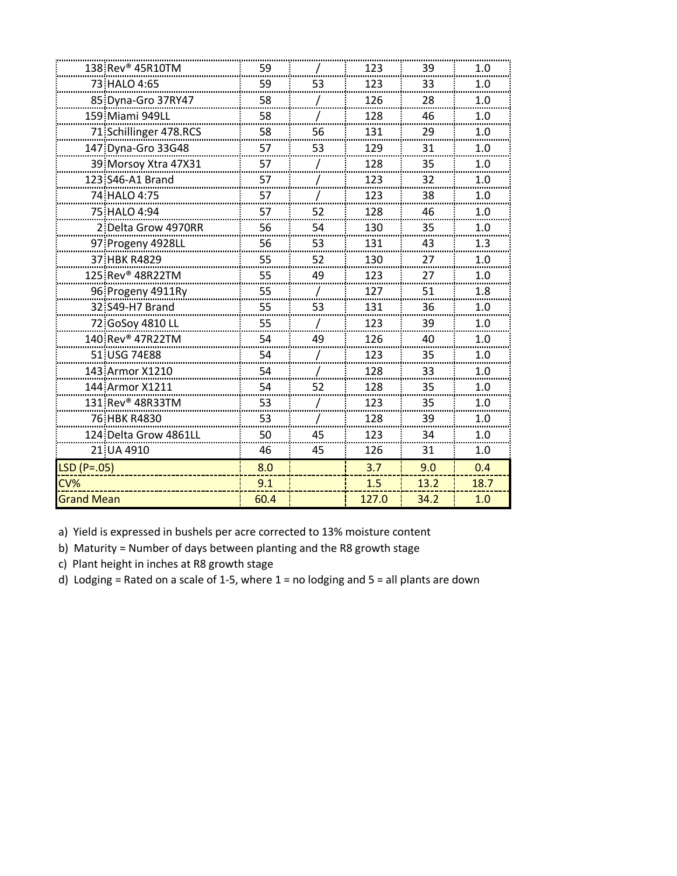|                   | 138 Rev <sup>®</sup> 45R10TM | 59      |    | 123     | 39   | 1.0      |
|-------------------|------------------------------|---------|----|---------|------|----------|
|                   | 73. HALO 4:65                | 59      | 53 | 123     | 33   | 1.0      |
|                   | 85 Dyna-Gro 37RY47           | 58      |    | 126     | 28   | 1.0      |
|                   | 159 Miami 949LL              | 58      |    | 128     | 46   | 1.0      |
|                   | 71 Schillinger 478.RCS       | 58      | 56 | 131     | 29   | 1.0      |
|                   | 147 Dyna-Gro 33G48           | 57      | 53 | 129     | 31   | 1.0      |
|                   | 39 Morsoy Xtra 47X31         | 57<br>  |    | 128<br> | 35   | 1.0<br>. |
|                   | 123 S46-A1 Brand             | 57      |    | 123     | 32   | 1.0      |
|                   | 74 HALO 4:75                 | 57      |    | 123     | 38   | 1.0      |
|                   | 75 HALO 4:94                 | 57      | 52 | 128     | 46   | 1.0      |
|                   | 2. Delta Grow 4970RR         | 56      | 54 | 130     | 35   | 1.0      |
|                   | 97 Progeny 4928LL            | 56      | 53 | 131     | 43   | 1.3      |
|                   | 37 HBK R4829                 | 55      | 52 | 130     | 27   | 1.0      |
|                   | 125 Rev <sup>®</sup> 48R22TM | 55      | 49 | 123     | 27   | 1.0      |
|                   | 96 Progeny 4911Ry            | 55      |    | 127     | 51   | 1.8      |
|                   | 32 S49-H7 Brand              | 55      | 53 | 131     | 36   | 1.0      |
|                   | 72 GoSoy 4810 LL             | 55      |    | 123     | 39   | 1.0      |
|                   | 140 Rev <sup>®</sup> 47R22TM | 54      | 49 | 126     | 40   | 1.0      |
|                   | 51 USG 74E88                 | 54      |    | 123     | 35   | 1.0      |
|                   | 143 Armor X1210              | 54      |    | 128     | 33   | 1.0      |
|                   | 144 Armor X1211              | 54<br>. | 52 | 128     | 35   | 1.0      |
|                   | 131.Rev <sup>®</sup> 48R33TM | 53      |    | 123     | 35   | 1.0      |
|                   | 76 HBK R4830                 | 53      |    | 128     | 39   | 1.0      |
|                   | 124 Delta Grow 4861LL        | 50      | 45 | 123     | 34   | 1.0      |
|                   | 21 UA 4910                   | 46      | 45 | 126     | 31   | 1.0      |
| $LSD(P=.05)$      |                              | 8.0     |    | 3.7     | 9.0  | 0.4      |
| CV%               |                              | 9.1     |    | 1.5     | 13.2 | 18.7     |
| <b>Grand Mean</b> |                              | 60.4    |    | 127.0   | 34.2 | 1.0      |

b) Maturity = Number of days between planting and the R8 growth stage

c) Plant height in inches at R8 growth stage

d) Lodging = Rated on a scale of 1-5, where 1 = no lodging and 5 = all plants are down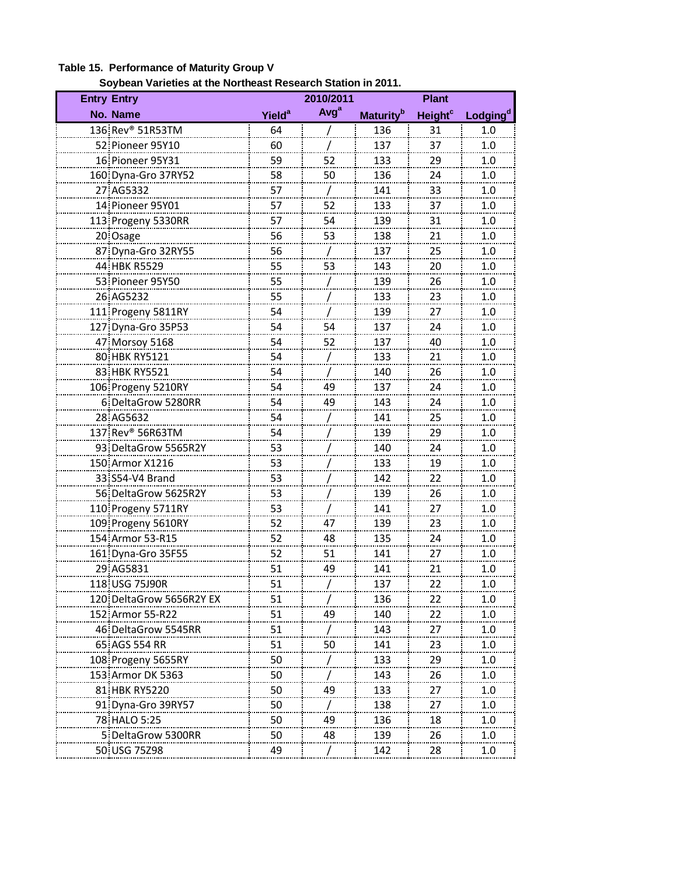| Soybean varieties at the Northeast Research Station in 2011.<br><b>Entry Entry</b> |                          | 2010/2011        |                       | <b>Plant</b>              |                      |
|------------------------------------------------------------------------------------|--------------------------|------------------|-----------------------|---------------------------|----------------------|
| No. Name                                                                           | <b>Yield<sup>a</sup></b> | Avg <sup>a</sup> |                       | <b>Height<sup>c</sup></b> |                      |
|                                                                                    |                          |                  | Maturity <sup>b</sup> |                           | Lodging <sup>d</sup> |
| 136 Rev <sup>®</sup> 51R53TM<br>52 Pioneer 95Y10                                   | 64                       |                  | 136                   | 31                        | 1.0                  |
|                                                                                    | 60                       |                  | 137                   | 37                        | 1.0                  |
| 16 Pioneer 95Y31                                                                   | 59                       | 52               | 133                   | 29                        | 1.0                  |
| 160 Dyna-Gro 37RY52                                                                | 58                       | 50               | 136                   | 24                        | 1.0                  |
| 27 AG5332                                                                          | 57                       |                  | 141                   | 33                        | 1.0                  |
| 14 Pioneer 95Y01                                                                   | 57                       | 52               | 133                   | 37                        | 1.0                  |
| 113 Progeny 5330RR                                                                 | 57                       | 54               | 139                   | 31                        | 1.0                  |
| 20 Osage                                                                           | 56                       | 53               | 138                   | 21                        | 1.0                  |
| 87 Dyna-Gro 32RY55                                                                 | 56                       |                  | 137                   | 25                        | 1.0                  |
| 44 HBK R5529                                                                       | 55                       | 53               | 143                   | 20                        | 1.0                  |
| 53 Pioneer 95Y50                                                                   | 55                       |                  | 139                   | 26                        | $1.0\,$              |
| 26 AG5232                                                                          | 55                       |                  | 133                   | 23                        | 1.0                  |
| 111 Progeny 5811RY                                                                 | 54                       |                  | 139                   | 27                        | 1.0                  |
| 127 Dyna-Gro 35P53                                                                 | 54                       | 54               | 137                   | 24                        | 1.0                  |
| 47 Morsoy 5168                                                                     | 54                       | 52               | 137                   | 40                        | 1.0                  |
| 80 HBK RY5121                                                                      | 54                       |                  | 133                   | 21                        | 1.0                  |
| 83 HBK RY5521                                                                      | 54                       |                  | 140                   | 26                        | 1.0                  |
| 106 Progeny 5210RY                                                                 | 54                       | 49               | 137                   | 24                        | 1.0                  |
| 6 DeltaGrow 5280RR                                                                 | 54                       | 49               | 143                   | 24                        | 1.0                  |
| 28 AG5632                                                                          | 54                       |                  | 141                   | 25                        | 1.0                  |
| 137 Rev <sup>®</sup> 56R63TM                                                       | 54                       |                  | 139                   | 29                        | 1.0                  |
| 93 DeltaGrow 5565R2Y                                                               | 53                       |                  | 140                   | 24                        | 1.0                  |
| 150 Armor X1216                                                                    | 53                       |                  | 133                   | 19                        | 1.0                  |
| 33 S54-V4 Brand                                                                    | 53                       |                  | 142                   | 22                        | 1.0                  |
| 56 DeltaGrow 5625R2Y                                                               | 53                       |                  | 139                   | 26                        | 1.0                  |
| 110 Progeny 5711RY                                                                 | 53                       |                  | 141                   | 27                        | 1.0                  |
| 109 Progeny 5610RY                                                                 | 52                       | 47               | 139                   | 23                        | 1.0                  |
| 154 Armor 53-R15                                                                   | 52                       | 48               | 135                   | 24                        | 1.0                  |
| 161 Dyna-Gro 35F55                                                                 | 52                       | 51               | 141                   | 27                        | 1.0                  |
| 29 AG5831                                                                          | 51                       | 49               | 141                   | 21                        | 1.0                  |
| 118 USG 75J90R                                                                     | 51                       |                  | 137                   | 22                        | 1.0                  |
| 120:DeltaGrow 5656R2Y EX                                                           | 51                       |                  | 136                   | 22                        | 1.0                  |
| 152: Armor 55-R22                                                                  | 51                       | 49               | 140                   | 22                        |                      |
| 46 DeltaGrow 5545RR                                                                |                          |                  |                       | 27                        | 1.0                  |
|                                                                                    | 51                       |                  | 143                   |                           | 1.0                  |
| 65 AGS 554 RR                                                                      | 51                       | 50               | 141                   | 23                        | 1.0                  |
| 108 Progeny 5655RY                                                                 | 50                       |                  | 133                   | 29                        | 1.0                  |
| 153 Armor DK 5363                                                                  | 50                       |                  | 143                   | 26                        | 1.0                  |
| 81 HBK RY5220                                                                      | 50                       | 49               | 133                   | 27                        | 1.0                  |
| 91 Dyna-Gro 39RY57                                                                 | 50                       |                  | 138                   | 27                        | 1.0                  |
| 78 HALO 5:25                                                                       | 50                       | 49               | 136                   | 18                        | 1.0                  |
| 5 DeltaGrow 5300RR                                                                 | 50                       | 48               | 139                   | 26                        | 1.0                  |
| 50 USG 75Z98                                                                       | 49                       |                  | 142                   | 28                        | 1.0                  |

#### **Table 15. Performance of Maturity Group V Soybean Varieties at the Northeast Research Station in 2011.**